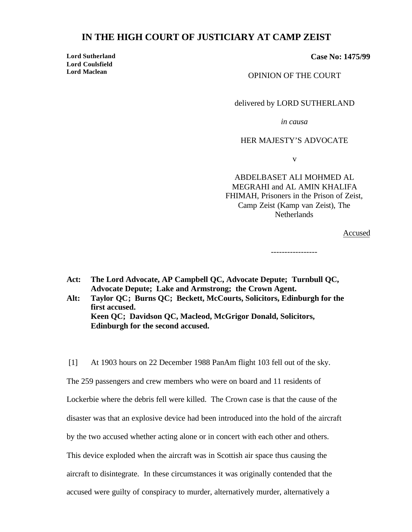## **IN THE HIGH COURT OF JUSTICIARY AT CAMP ZEIST**

**Lord Sutherland Lord Coulsfield Lord Maclean**

**Case No: 1475/99**

OPINION OF THE COURT

delivered by LORD SUTHERLAND

*in causa*

## HER MAJESTY'S ADVOCATE

v

ABDELBASET ALI MOHMED AL MEGRAHI and AL AMIN KHALIFA FHIMAH, Prisoners in the Prison of Zeist, Camp Zeist (Kamp van Zeist), The **Netherlands** 

Accused

-----------------

**Act: The Lord Advocate, AP Campbell QC, Advocate Depute; Turnbull QC, Advocate Depute; Lake and Armstrong; the Crown Agent.**

**Alt: Taylor QC; Burns QC; Beckett, McCourts, Solicitors, Edinburgh for the first accused. Keen QC; Davidson QC, Macleod, McGrigor Donald, Solicitors, Edinburgh for the second accused.**

 [1] At 1903 hours on 22 December 1988 PanAm flight 103 fell out of the sky. The 259 passengers and crew members who were on board and 11 residents of Lockerbie where the debris fell were killed. The Crown case is that the cause of the disaster was that an explosive device had been introduced into the hold of the aircraft by the two accused whether acting alone or in concert with each other and others. This device exploded when the aircraft was in Scottish air space thus causing the aircraft to disintegrate. In these circumstances it was originally contended that the accused were guilty of conspiracy to murder, alternatively murder, alternatively a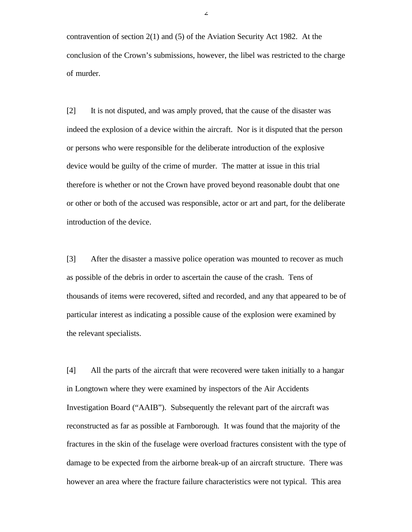contravention of section 2(1) and (5) of the Aviation Security Act 1982. At the conclusion of the Crown's submissions, however, the libel was restricted to the charge of murder.

[2] It is not disputed, and was amply proved, that the cause of the disaster was indeed the explosion of a device within the aircraft. Nor is it disputed that the person or persons who were responsible for the deliberate introduction of the explosive device would be guilty of the crime of murder. The matter at issue in this trial therefore is whether or not the Crown have proved beyond reasonable doubt that one or other or both of the accused was responsible, actor or art and part, for the deliberate introduction of the device.

[3] After the disaster a massive police operation was mounted to recover as much as possible of the debris in order to ascertain the cause of the crash. Tens of thousands of items were recovered, sifted and recorded, and any that appeared to be of particular interest as indicating a possible cause of the explosion were examined by the relevant specialists.

[4] All the parts of the aircraft that were recovered were taken initially to a hangar in Longtown where they were examined by inspectors of the Air Accidents Investigation Board ("AAIB"). Subsequently the relevant part of the aircraft was reconstructed as far as possible at Farnborough. It was found that the majority of the fractures in the skin of the fuselage were overload fractures consistent with the type of damage to be expected from the airborne break-up of an aircraft structure. There was however an area where the fracture failure characteristics were not typical. This area

 $\overline{2}$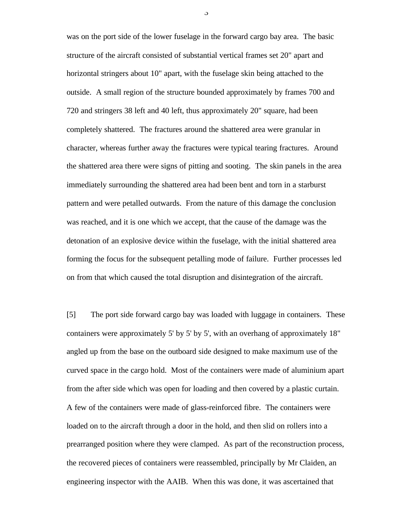was on the port side of the lower fuselage in the forward cargo bay area. The basic structure of the aircraft consisted of substantial vertical frames set 20" apart and horizontal stringers about 10" apart, with the fuselage skin being attached to the outside. A small region of the structure bounded approximately by frames 700 and 720 and stringers 38 left and 40 left, thus approximately 20" square, had been completely shattered. The fractures around the shattered area were granular in character, whereas further away the fractures were typical tearing fractures. Around the shattered area there were signs of pitting and sooting. The skin panels in the area immediately surrounding the shattered area had been bent and torn in a starburst pattern and were petalled outwards. From the nature of this damage the conclusion was reached, and it is one which we accept, that the cause of the damage was the detonation of an explosive device within the fuselage, with the initial shattered area forming the focus for the subsequent petalling mode of failure. Further processes led on from that which caused the total disruption and disintegration of the aircraft.

[5] The port side forward cargo bay was loaded with luggage in containers. These containers were approximately 5' by 5' by 5', with an overhang of approximately 18" angled up from the base on the outboard side designed to make maximum use of the curved space in the cargo hold. Most of the containers were made of aluminium apart from the after side which was open for loading and then covered by a plastic curtain. A few of the containers were made of glass-reinforced fibre. The containers were loaded on to the aircraft through a door in the hold, and then slid on rollers into a prearranged position where they were clamped. As part of the reconstruction process, the recovered pieces of containers were reassembled, principally by Mr Claiden, an engineering inspector with the AAIB. When this was done, it was ascertained that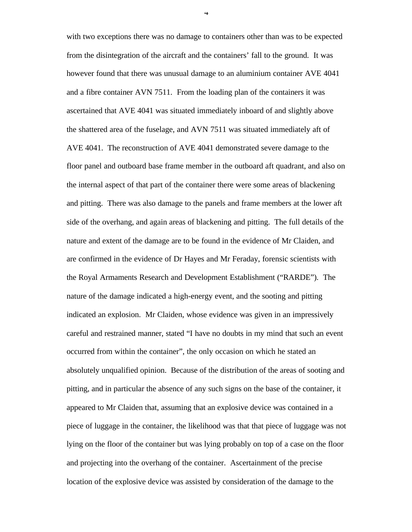with two exceptions there was no damage to containers other than was to be expected from the disintegration of the aircraft and the containers' fall to the ground. It was however found that there was unusual damage to an aluminium container AVE 4041 and a fibre container AVN 7511. From the loading plan of the containers it was ascertained that AVE 4041 was situated immediately inboard of and slightly above the shattered area of the fuselage, and AVN 7511 was situated immediately aft of AVE 4041. The reconstruction of AVE 4041 demonstrated severe damage to the floor panel and outboard base frame member in the outboard aft quadrant, and also on the internal aspect of that part of the container there were some areas of blackening and pitting. There was also damage to the panels and frame members at the lower aft side of the overhang, and again areas of blackening and pitting. The full details of the nature and extent of the damage are to be found in the evidence of Mr Claiden, and are confirmed in the evidence of Dr Hayes and Mr Feraday, forensic scientists with the Royal Armaments Research and Development Establishment ("RARDE"). The nature of the damage indicated a high-energy event, and the sooting and pitting indicated an explosion. Mr Claiden, whose evidence was given in an impressively careful and restrained manner, stated "I have no doubts in my mind that such an event occurred from within the container", the only occasion on which he stated an absolutely unqualified opinion. Because of the distribution of the areas of sooting and pitting, and in particular the absence of any such signs on the base of the container, it appeared to Mr Claiden that, assuming that an explosive device was contained in a piece of luggage in the container, the likelihood was that that piece of luggage was not lying on the floor of the container but was lying probably on top of a case on the floor and projecting into the overhang of the container. Ascertainment of the precise location of the explosive device was assisted by consideration of the damage to the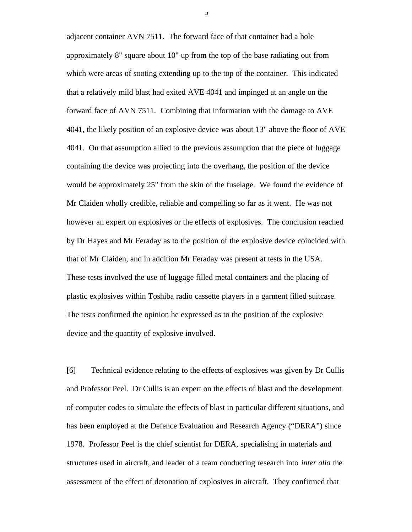adjacent container AVN 7511. The forward face of that container had a hole approximately 8" square about 10" up from the top of the base radiating out from which were areas of sooting extending up to the top of the container. This indicated that a relatively mild blast had exited AVE 4041 and impinged at an angle on the forward face of AVN 7511. Combining that information with the damage to AVE 4041, the likely position of an explosive device was about 13" above the floor of AVE 4041. On that assumption allied to the previous assumption that the piece of luggage containing the device was projecting into the overhang, the position of the device would be approximately 25" from the skin of the fuselage. We found the evidence of Mr Claiden wholly credible, reliable and compelling so far as it went. He was not however an expert on explosives or the effects of explosives. The conclusion reached by Dr Hayes and Mr Feraday as to the position of the explosive device coincided with that of Mr Claiden, and in addition Mr Feraday was present at tests in the USA. These tests involved the use of luggage filled metal containers and the placing of plastic explosives within Toshiba radio cassette players in a garment filled suitcase. The tests confirmed the opinion he expressed as to the position of the explosive device and the quantity of explosive involved.

[6] Technical evidence relating to the effects of explosives was given by Dr Cullis and Professor Peel. Dr Cullis is an expert on the effects of blast and the development of computer codes to simulate the effects of blast in particular different situations, and has been employed at the Defence Evaluation and Research Agency ("DERA") since 1978. Professor Peel is the chief scientist for DERA, specialising in materials and structures used in aircraft, and leader of a team conducting research into *inter alia* the assessment of the effect of detonation of explosives in aircraft. They confirmed that

 $\overline{J}$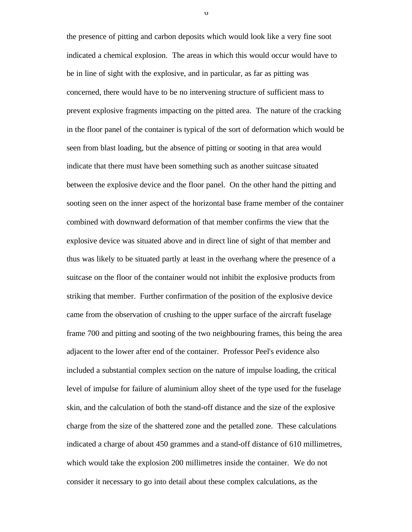the presence of pitting and carbon deposits which would look like a very fine soot indicated a chemical explosion. The areas in which this would occur would have to be in line of sight with the explosive, and in particular, as far as pitting was concerned, there would have to be no intervening structure of sufficient mass to prevent explosive fragments impacting on the pitted area. The nature of the cracking in the floor panel of the container is typical of the sort of deformation which would be seen from blast loading, but the absence of pitting or sooting in that area would indicate that there must have been something such as another suitcase situated between the explosive device and the floor panel. On the other hand the pitting and sooting seen on the inner aspect of the horizontal base frame member of the container combined with downward deformation of that member confirms the view that the explosive device was situated above and in direct line of sight of that member and thus was likely to be situated partly at least in the overhang where the presence of a suitcase on the floor of the container would not inhibit the explosive products from striking that member. Further confirmation of the position of the explosive device came from the observation of crushing to the upper surface of the aircraft fuselage frame 700 and pitting and sooting of the two neighbouring frames, this being the area adjacent to the lower after end of the container. Professor Peel's evidence also included a substantial complex section on the nature of impulse loading, the critical level of impulse for failure of aluminium alloy sheet of the type used for the fuselage skin, and the calculation of both the stand-off distance and the size of the explosive charge from the size of the shattered zone and the petalled zone. These calculations indicated a charge of about 450 grammes and a stand-off distance of 610 millimetres, which would take the explosion 200 millimetres inside the container. We do not consider it necessary to go into detail about these complex calculations, as the

 $\Omega$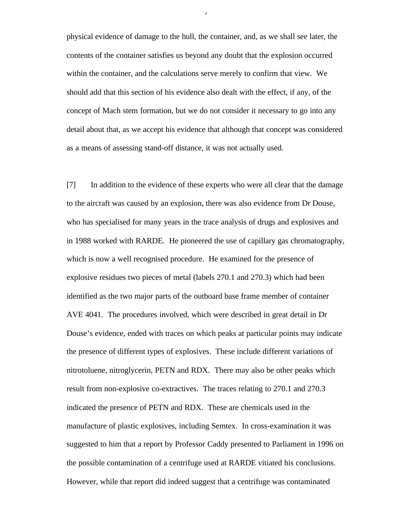physical evidence of damage to the hull, the container, and, as we shall see later, the contents of the container satisfies us beyond any doubt that the explosion occurred within the container, and the calculations serve merely to confirm that view. We should add that this section of his evidence also dealt with the effect, if any, of the concept of Mach stem formation, but we do not consider it necessary to go into any detail about that, as we accept his evidence that although that concept was considered as a means of assessing stand-off distance, it was not actually used.

[7] In addition to the evidence of these experts who were all clear that the damage to the aircraft was caused by an explosion, there was also evidence from Dr Douse, who has specialised for many years in the trace analysis of drugs and explosives and in 1988 worked with RARDE. He pioneered the use of capillary gas chromatography, which is now a well recognised procedure. He examined for the presence of explosive residues two pieces of metal (labels 270.1 and 270.3) which had been identified as the two major parts of the outboard base frame member of container AVE 4041. The procedures involved, which were described in great detail in Dr Douse's evidence, ended with traces on which peaks at particular points may indicate the presence of different types of explosives. These include different variations of nitrotoluene, nitroglycerin, PETN and RDX. There may also be other peaks which result from non-explosive co-extractives. The traces relating to 270.1 and 270.3 indicated the presence of PETN and RDX. These are chemicals used in the manufacture of plastic explosives, including Semtex. In cross-examination it was suggested to him that a report by Professor Caddy presented to Parliament in 1996 on the possible contamination of a centrifuge used at RARDE vitiated his conclusions. However, while that report did indeed suggest that a centrifuge was contaminated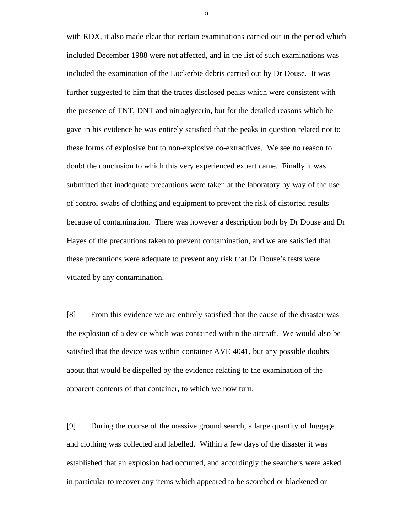with RDX, it also made clear that certain examinations carried out in the period which included December 1988 were not affected, and in the list of such examinations was included the examination of the Lockerbie debris carried out by Dr Douse. It was further suggested to him that the traces disclosed peaks which were consistent with the presence of TNT, DNT and nitroglycerin, but for the detailed reasons which he gave in his evidence he was entirely satisfied that the peaks in question related not to these forms of explosive but to non-explosive co-extractives. We see no reason to doubt the conclusion to which this very experienced expert came. Finally it was submitted that inadequate precautions were taken at the laboratory by way of the use of control swabs of clothing and equipment to prevent the risk of distorted results because of contamination. There was however a description both by Dr Douse and Dr Hayes of the precautions taken to prevent contamination, and we are satisfied that these precautions were adequate to prevent any risk that Dr Douse's tests were vitiated by any contamination.

[8] From this evidence we are entirely satisfied that the cause of the disaster was the explosion of a device which was contained within the aircraft. We would also be satisfied that the device was within container AVE 4041, but any possible doubts about that would be dispelled by the evidence relating to the examination of the apparent contents of that container, to which we now turn.

[9] During the course of the massive ground search, a large quantity of luggage and clothing was collected and labelled. Within a few days of the disaster it was established that an explosion had occurred, and accordingly the searchers were asked in particular to recover any items which appeared to be scorched or blackened or

 $\circ$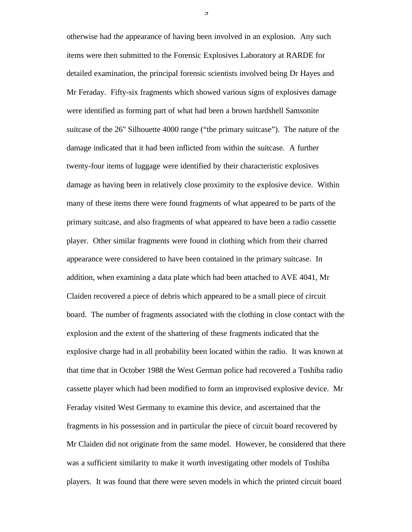otherwise had the appearance of having been involved in an explosion. Any such items were then submitted to the Forensic Explosives Laboratory at RARDE for detailed examination, the principal forensic scientists involved being Dr Hayes and Mr Feraday. Fifty-six fragments which showed various signs of explosives damage were identified as forming part of what had been a brown hardshell Samsonite suitcase of the 26" Silhouette 4000 range ("the primary suitcase"). The nature of the damage indicated that it had been inflicted from within the suitcase. A further twenty-four items of luggage were identified by their characteristic explosives damage as having been in relatively close proximity to the explosive device. Within many of these items there were found fragments of what appeared to be parts of the primary suitcase, and also fragments of what appeared to have been a radio cassette player. Other similar fragments were found in clothing which from their charred appearance were considered to have been contained in the primary suitcase. In addition, when examining a data plate which had been attached to AVE 4041, Mr Claiden recovered a piece of debris which appeared to be a small piece of circuit board. The number of fragments associated with the clothing in close contact with the explosion and the extent of the shattering of these fragments indicated that the explosive charge had in all probability been located within the radio. It was known at that time that in October 1988 the West German police had recovered a Toshiba radio cassette player which had been modified to form an improvised explosive device. Mr Feraday visited West Germany to examine this device, and ascertained that the fragments in his possession and in particular the piece of circuit board recovered by Mr Claiden did not originate from the same model. However, he considered that there was a sufficient similarity to make it worth investigating other models of Toshiba players. It was found that there were seven models in which the printed circuit board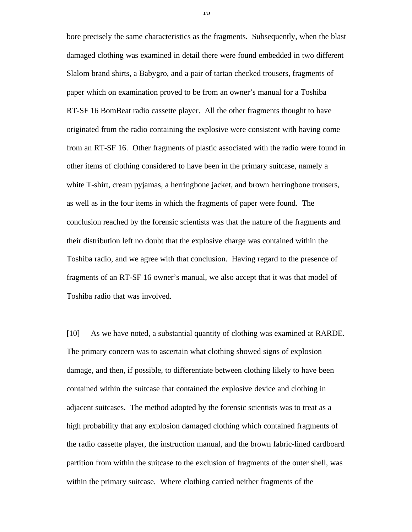bore precisely the same characteristics as the fragments. Subsequently, when the blast damaged clothing was examined in detail there were found embedded in two different Slalom brand shirts, a Babygro, and a pair of tartan checked trousers, fragments of paper which on examination proved to be from an owner's manual for a Toshiba RT-SF 16 BomBeat radio cassette player. All the other fragments thought to have originated from the radio containing the explosive were consistent with having come from an RT-SF 16. Other fragments of plastic associated with the radio were found in other items of clothing considered to have been in the primary suitcase, namely a white T-shirt, cream pyjamas, a herringbone jacket, and brown herringbone trousers, as well as in the four items in which the fragments of paper were found. The conclusion reached by the forensic scientists was that the nature of the fragments and their distribution left no doubt that the explosive charge was contained within the Toshiba radio, and we agree with that conclusion. Having regard to the presence of fragments of an RT-SF 16 owner's manual, we also accept that it was that model of Toshiba radio that was involved.

[10] As we have noted, a substantial quantity of clothing was examined at RARDE. The primary concern was to ascertain what clothing showed signs of explosion damage, and then, if possible, to differentiate between clothing likely to have been contained within the suitcase that contained the explosive device and clothing in adjacent suitcases. The method adopted by the forensic scientists was to treat as a high probability that any explosion damaged clothing which contained fragments of the radio cassette player, the instruction manual, and the brown fabric-lined cardboard partition from within the suitcase to the exclusion of fragments of the outer shell, was within the primary suitcase. Where clothing carried neither fragments of the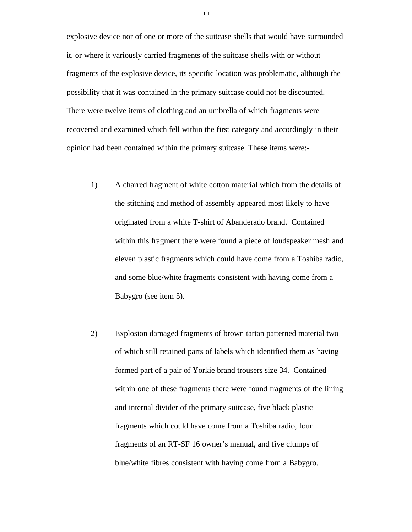explosive device nor of one or more of the suitcase shells that would have surrounded it, or where it variously carried fragments of the suitcase shells with or without fragments of the explosive device, its specific location was problematic, although the possibility that it was contained in the primary suitcase could not be discounted. There were twelve items of clothing and an umbrella of which fragments were recovered and examined which fell within the first category and accordingly in their opinion had been contained within the primary suitcase. These items were:-

- 1) A charred fragment of white cotton material which from the details of the stitching and method of assembly appeared most likely to have originated from a white T-shirt of Abanderado brand. Contained within this fragment there were found a piece of loudspeaker mesh and eleven plastic fragments which could have come from a Toshiba radio, and some blue/white fragments consistent with having come from a Babygro (see item 5).
- 2) Explosion damaged fragments of brown tartan patterned material two of which still retained parts of labels which identified them as having formed part of a pair of Yorkie brand trousers size 34. Contained within one of these fragments there were found fragments of the lining and internal divider of the primary suitcase, five black plastic fragments which could have come from a Toshiba radio, four fragments of an RT-SF 16 owner's manual, and five clumps of blue/white fibres consistent with having come from a Babygro.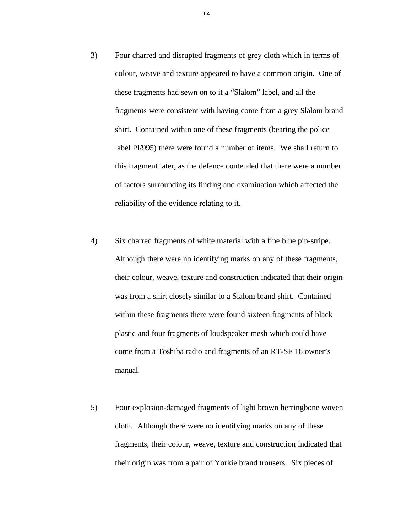- 3) Four charred and disrupted fragments of grey cloth which in terms of colour, weave and texture appeared to have a common origin. One of these fragments had sewn on to it a "Slalom" label, and all the fragments were consistent with having come from a grey Slalom brand shirt. Contained within one of these fragments (bearing the police label PI/995) there were found a number of items. We shall return to this fragment later, as the defence contended that there were a number of factors surrounding its finding and examination which affected the reliability of the evidence relating to it.
- 4) Six charred fragments of white material with a fine blue pin-stripe. Although there were no identifying marks on any of these fragments, their colour, weave, texture and construction indicated that their origin was from a shirt closely similar to a Slalom brand shirt. Contained within these fragments there were found sixteen fragments of black plastic and four fragments of loudspeaker mesh which could have come from a Toshiba radio and fragments of an RT-SF 16 owner's manual.
- 5) Four explosion-damaged fragments of light brown herringbone woven cloth. Although there were no identifying marks on any of these fragments, their colour, weave, texture and construction indicated that their origin was from a pair of Yorkie brand trousers. Six pieces of

 $\overline{12}$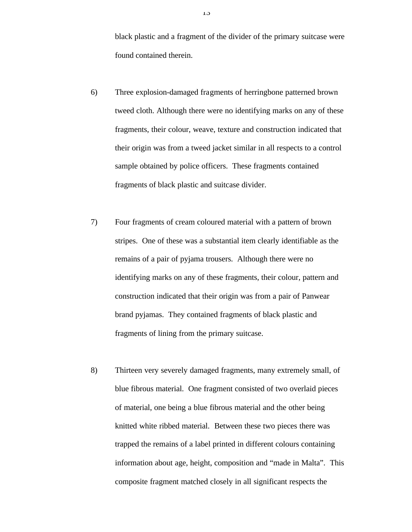black plastic and a fragment of the divider of the primary suitcase were found contained therein.

- 6) Three explosion-damaged fragments of herringbone patterned brown tweed cloth. Although there were no identifying marks on any of these fragments, their colour, weave, texture and construction indicated that their origin was from a tweed jacket similar in all respects to a control sample obtained by police officers. These fragments contained fragments of black plastic and suitcase divider.
- 7) Four fragments of cream coloured material with a pattern of brown stripes. One of these was a substantial item clearly identifiable as the remains of a pair of pyjama trousers. Although there were no identifying marks on any of these fragments, their colour, pattern and construction indicated that their origin was from a pair of Panwear brand pyjamas. They contained fragments of black plastic and fragments of lining from the primary suitcase.
- 8) Thirteen very severely damaged fragments, many extremely small, of blue fibrous material. One fragment consisted of two overlaid pieces of material, one being a blue fibrous material and the other being knitted white ribbed material. Between these two pieces there was trapped the remains of a label printed in different colours containing information about age, height, composition and "made in Malta". This composite fragment matched closely in all significant respects the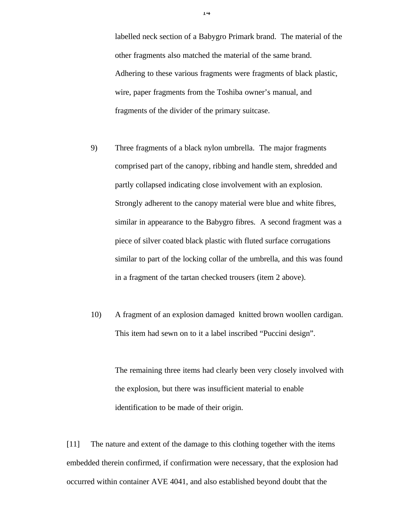labelled neck section of a Babygro Primark brand. The material of the other fragments also matched the material of the same brand. Adhering to these various fragments were fragments of black plastic, wire, paper fragments from the Toshiba owner's manual, and fragments of the divider of the primary suitcase.

- 9) Three fragments of a black nylon umbrella. The major fragments comprised part of the canopy, ribbing and handle stem, shredded and partly collapsed indicating close involvement with an explosion. Strongly adherent to the canopy material were blue and white fibres, similar in appearance to the Babygro fibres. A second fragment was a piece of silver coated black plastic with fluted surface corrugations similar to part of the locking collar of the umbrella, and this was found in a fragment of the tartan checked trousers (item 2 above).
- 10) A fragment of an explosion damaged knitted brown woollen cardigan. This item had sewn on to it a label inscribed "Puccini design".

The remaining three items had clearly been very closely involved with the explosion, but there was insufficient material to enable identification to be made of their origin.

[11] The nature and extent of the damage to this clothing together with the items embedded therein confirmed, if confirmation were necessary, that the explosion had occurred within container AVE 4041, and also established beyond doubt that the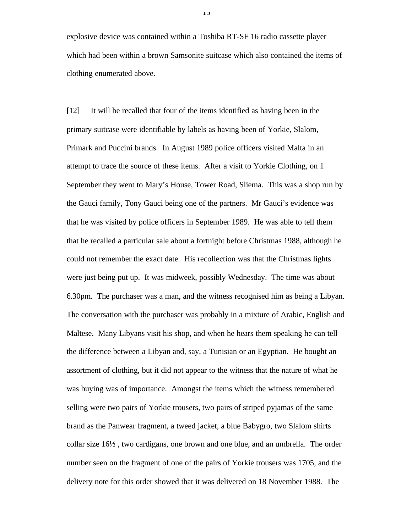explosive device was contained within a Toshiba RT-SF 16 radio cassette player which had been within a brown Samsonite suitcase which also contained the items of clothing enumerated above.

[12] It will be recalled that four of the items identified as having been in the primary suitcase were identifiable by labels as having been of Yorkie, Slalom, Primark and Puccini brands. In August 1989 police officers visited Malta in an attempt to trace the source of these items. After a visit to Yorkie Clothing, on 1 September they went to Mary's House, Tower Road, Sliema. This was a shop run by the Gauci family, Tony Gauci being one of the partners. Mr Gauci's evidence was that he was visited by police officers in September 1989. He was able to tell them that he recalled a particular sale about a fortnight before Christmas 1988, although he could not remember the exact date. His recollection was that the Christmas lights were just being put up. It was midweek, possibly Wednesday. The time was about 6.30pm. The purchaser was a man, and the witness recognised him as being a Libyan. The conversation with the purchaser was probably in a mixture of Arabic, English and Maltese. Many Libyans visit his shop, and when he hears them speaking he can tell the difference between a Libyan and, say, a Tunisian or an Egyptian. He bought an assortment of clothing, but it did not appear to the witness that the nature of what he was buying was of importance. Amongst the items which the witness remembered selling were two pairs of Yorkie trousers, two pairs of striped pyjamas of the same brand as the Panwear fragment, a tweed jacket, a blue Babygro, two Slalom shirts collar size 16½ , two cardigans, one brown and one blue, and an umbrella. The order number seen on the fragment of one of the pairs of Yorkie trousers was 1705, and the delivery note for this order showed that it was delivered on 18 November 1988. The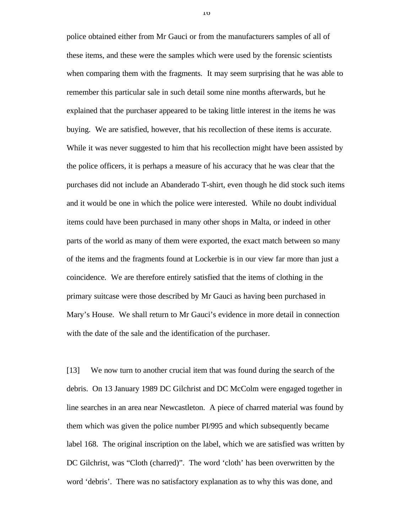police obtained either from Mr Gauci or from the manufacturers samples of all of these items, and these were the samples which were used by the forensic scientists when comparing them with the fragments. It may seem surprising that he was able to remember this particular sale in such detail some nine months afterwards, but he explained that the purchaser appeared to be taking little interest in the items he was buying. We are satisfied, however, that his recollection of these items is accurate. While it was never suggested to him that his recollection might have been assisted by the police officers, it is perhaps a measure of his accuracy that he was clear that the purchases did not include an Abanderado T-shirt, even though he did stock such items and it would be one in which the police were interested. While no doubt individual items could have been purchased in many other shops in Malta, or indeed in other parts of the world as many of them were exported, the exact match between so many of the items and the fragments found at Lockerbie is in our view far more than just a coincidence. We are therefore entirely satisfied that the items of clothing in the primary suitcase were those described by Mr Gauci as having been purchased in Mary's House. We shall return to Mr Gauci's evidence in more detail in connection with the date of the sale and the identification of the purchaser.

[13] We now turn to another crucial item that was found during the search of the debris. On 13 January 1989 DC Gilchrist and DC McColm were engaged together in line searches in an area near Newcastleton. A piece of charred material was found by them which was given the police number PI/995 and which subsequently became label 168. The original inscription on the label, which we are satisfied was written by DC Gilchrist, was "Cloth (charred)". The word 'cloth' has been overwritten by the word 'debris'. There was no satisfactory explanation as to why this was done, and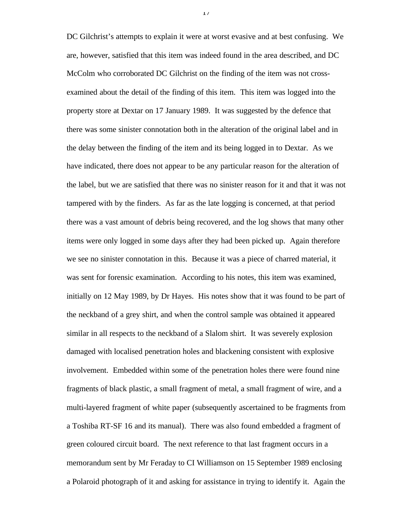DC Gilchrist's attempts to explain it were at worst evasive and at best confusing. We are, however, satisfied that this item was indeed found in the area described, and DC McColm who corroborated DC Gilchrist on the finding of the item was not crossexamined about the detail of the finding of this item. This item was logged into the property store at Dextar on 17 January 1989. It was suggested by the defence that there was some sinister connotation both in the alteration of the original label and in the delay between the finding of the item and its being logged in to Dextar. As we have indicated, there does not appear to be any particular reason for the alteration of the label, but we are satisfied that there was no sinister reason for it and that it was not tampered with by the finders. As far as the late logging is concerned, at that period there was a vast amount of debris being recovered, and the log shows that many other items were only logged in some days after they had been picked up. Again therefore we see no sinister connotation in this. Because it was a piece of charred material, it was sent for forensic examination. According to his notes, this item was examined, initially on 12 May 1989, by Dr Hayes. His notes show that it was found to be part of the neckband of a grey shirt, and when the control sample was obtained it appeared similar in all respects to the neckband of a Slalom shirt. It was severely explosion damaged with localised penetration holes and blackening consistent with explosive involvement. Embedded within some of the penetration holes there were found nine fragments of black plastic, a small fragment of metal, a small fragment of wire, and a multi-layered fragment of white paper (subsequently ascertained to be fragments from a Toshiba RT-SF 16 and its manual). There was also found embedded a fragment of green coloured circuit board. The next reference to that last fragment occurs in a memorandum sent by Mr Feraday to CI Williamson on 15 September 1989 enclosing a Polaroid photograph of it and asking for assistance in trying to identify it. Again the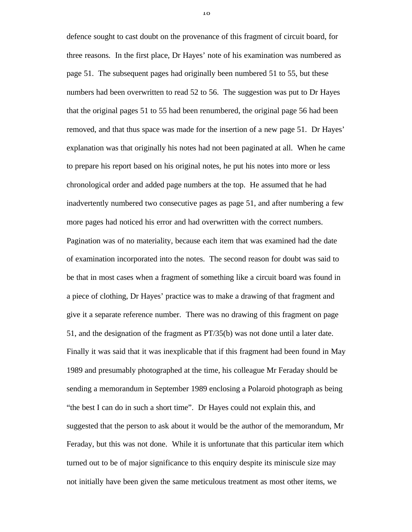defence sought to cast doubt on the provenance of this fragment of circuit board, for three reasons. In the first place, Dr Hayes' note of his examination was numbered as page 51. The subsequent pages had originally been numbered 51 to 55, but these numbers had been overwritten to read 52 to 56. The suggestion was put to Dr Hayes that the original pages 51 to 55 had been renumbered, the original page 56 had been removed, and that thus space was made for the insertion of a new page 51. Dr Hayes' explanation was that originally his notes had not been paginated at all. When he came to prepare his report based on his original notes, he put his notes into more or less chronological order and added page numbers at the top. He assumed that he had inadvertently numbered two consecutive pages as page 51, and after numbering a few more pages had noticed his error and had overwritten with the correct numbers. Pagination was of no materiality, because each item that was examined had the date of examination incorporated into the notes. The second reason for doubt was said to be that in most cases when a fragment of something like a circuit board was found in a piece of clothing, Dr Hayes' practice was to make a drawing of that fragment and give it a separate reference number. There was no drawing of this fragment on page 51, and the designation of the fragment as PT/35(b) was not done until a later date. Finally it was said that it was inexplicable that if this fragment had been found in May 1989 and presumably photographed at the time, his colleague Mr Feraday should be sending a memorandum in September 1989 enclosing a Polaroid photograph as being "the best I can do in such a short time". Dr Hayes could not explain this, and suggested that the person to ask about it would be the author of the memorandum, Mr Feraday, but this was not done. While it is unfortunate that this particular item which turned out to be of major significance to this enquiry despite its miniscule size may not initially have been given the same meticulous treatment as most other items, we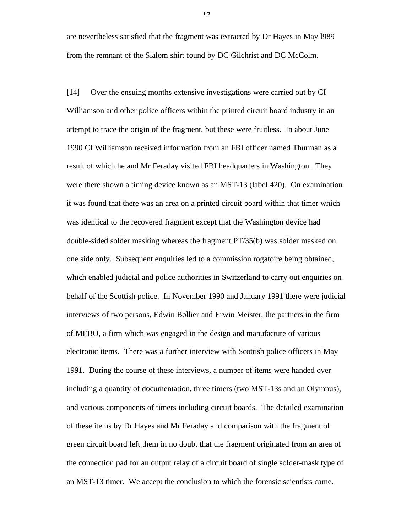are nevertheless satisfied that the fragment was extracted by Dr Hayes in May l989 from the remnant of the Slalom shirt found by DC Gilchrist and DC McColm.

[14] Over the ensuing months extensive investigations were carried out by CI Williamson and other police officers within the printed circuit board industry in an attempt to trace the origin of the fragment, but these were fruitless. In about June 1990 CI Williamson received information from an FBI officer named Thurman as a result of which he and Mr Feraday visited FBI headquarters in Washington. They were there shown a timing device known as an MST-13 (label 420). On examination it was found that there was an area on a printed circuit board within that timer which was identical to the recovered fragment except that the Washington device had double-sided solder masking whereas the fragment PT/35(b) was solder masked on one side only. Subsequent enquiries led to a commission rogatoire being obtained, which enabled judicial and police authorities in Switzerland to carry out enquiries on behalf of the Scottish police. In November 1990 and January 1991 there were judicial interviews of two persons, Edwin Bollier and Erwin Meister, the partners in the firm of MEBO, a firm which was engaged in the design and manufacture of various electronic items. There was a further interview with Scottish police officers in May 1991. During the course of these interviews, a number of items were handed over including a quantity of documentation, three timers (two MST-13s and an Olympus), and various components of timers including circuit boards. The detailed examination of these items by Dr Hayes and Mr Feraday and comparison with the fragment of green circuit board left them in no doubt that the fragment originated from an area of the connection pad for an output relay of a circuit board of single solder-mask type of an MST-13 timer. We accept the conclusion to which the forensic scientists came.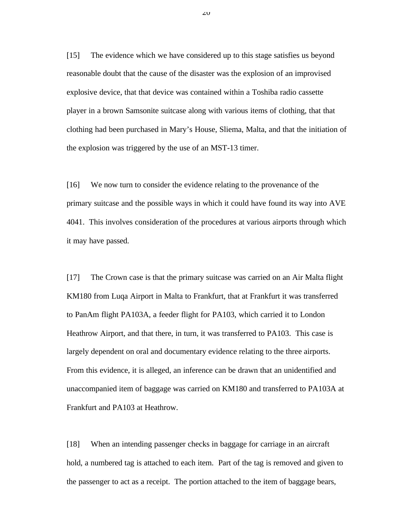[15] The evidence which we have considered up to this stage satisfies us beyond reasonable doubt that the cause of the disaster was the explosion of an improvised explosive device, that that device was contained within a Toshiba radio cassette player in a brown Samsonite suitcase along with various items of clothing, that that clothing had been purchased in Mary's House, Sliema, Malta, and that the initiation of the explosion was triggered by the use of an MST-13 timer.

[16] We now turn to consider the evidence relating to the provenance of the primary suitcase and the possible ways in which it could have found its way into AVE 4041. This involves consideration of the procedures at various airports through which it may have passed.

[17] The Crown case is that the primary suitcase was carried on an Air Malta flight KM180 from Luqa Airport in Malta to Frankfurt, that at Frankfurt it was transferred to PanAm flight PA103A, a feeder flight for PA103, which carried it to London Heathrow Airport, and that there, in turn, it was transferred to PA103. This case is largely dependent on oral and documentary evidence relating to the three airports. From this evidence, it is alleged, an inference can be drawn that an unidentified and unaccompanied item of baggage was carried on KM180 and transferred to PA103A at Frankfurt and PA103 at Heathrow.

[18] When an intending passenger checks in baggage for carriage in an aircraft hold, a numbered tag is attached to each item. Part of the tag is removed and given to the passenger to act as a receipt. The portion attached to the item of baggage bears,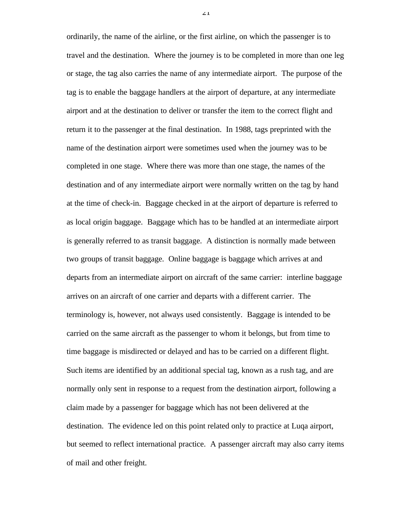ordinarily, the name of the airline, or the first airline, on which the passenger is to travel and the destination. Where the journey is to be completed in more than one leg or stage, the tag also carries the name of any intermediate airport. The purpose of the tag is to enable the baggage handlers at the airport of departure, at any intermediate airport and at the destination to deliver or transfer the item to the correct flight and return it to the passenger at the final destination. In 1988, tags preprinted with the name of the destination airport were sometimes used when the journey was to be completed in one stage. Where there was more than one stage, the names of the destination and of any intermediate airport were normally written on the tag by hand at the time of check-in. Baggage checked in at the airport of departure is referred to as local origin baggage. Baggage which has to be handled at an intermediate airport is generally referred to as transit baggage. A distinction is normally made between two groups of transit baggage. Online baggage is baggage which arrives at and departs from an intermediate airport on aircraft of the same carrier: interline baggage arrives on an aircraft of one carrier and departs with a different carrier. The terminology is, however, not always used consistently. Baggage is intended to be carried on the same aircraft as the passenger to whom it belongs, but from time to time baggage is misdirected or delayed and has to be carried on a different flight. Such items are identified by an additional special tag, known as a rush tag, and are normally only sent in response to a request from the destination airport, following a claim made by a passenger for baggage which has not been delivered at the destination. The evidence led on this point related only to practice at Luqa airport, but seemed to reflect international practice. A passenger aircraft may also carry items of mail and other freight.

 $\angle 1$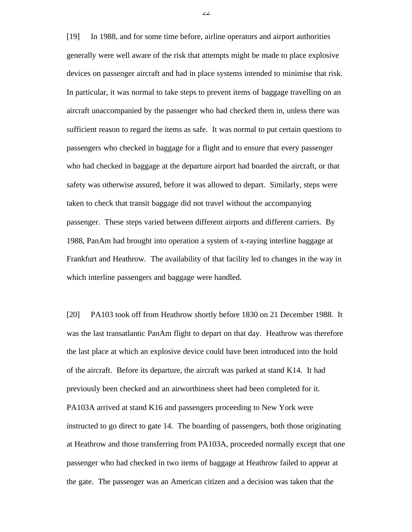[19] In 1988, and for some time before, airline operators and airport authorities generally were well aware of the risk that attempts might be made to place explosive devices on passenger aircraft and had in place systems intended to minimise that risk. In particular, it was normal to take steps to prevent items of baggage travelling on an aircraft unaccompanied by the passenger who had checked them in, unless there was sufficient reason to regard the items as safe. It was normal to put certain questions to passengers who checked in baggage for a flight and to ensure that every passenger who had checked in baggage at the departure airport had boarded the aircraft, or that safety was otherwise assured, before it was allowed to depart. Similarly, steps were taken to check that transit baggage did not travel without the accompanying passenger. These steps varied between different airports and different carriers. By 1988, PanAm had brought into operation a system of x-raying interline baggage at Frankfurt and Heathrow. The availability of that facility led to changes in the way in which interline passengers and baggage were handled.

[20] PA103 took off from Heathrow shortly before 1830 on 21 December 1988. It was the last transatlantic PanAm flight to depart on that day. Heathrow was therefore the last place at which an explosive device could have been introduced into the hold of the aircraft. Before its departure, the aircraft was parked at stand K14. It had previously been checked and an airworthiness sheet had been completed for it. PA103A arrived at stand K16 and passengers proceeding to New York were instructed to go direct to gate 14. The boarding of passengers, both those originating at Heathrow and those transferring from PA103A, proceeded normally except that one passenger who had checked in two items of baggage at Heathrow failed to appear at the gate. The passenger was an American citizen and a decision was taken that the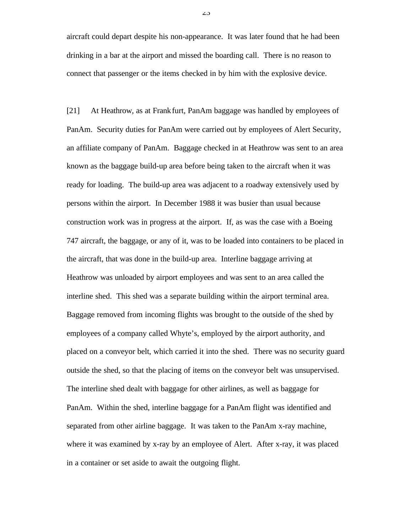aircraft could depart despite his non-appearance. It was later found that he had been drinking in a bar at the airport and missed the boarding call. There is no reason to connect that passenger or the items checked in by him with the explosive device.

[21] At Heathrow, as at Frankfurt, PanAm baggage was handled by employees of PanAm. Security duties for PanAm were carried out by employees of Alert Security, an affiliate company of PanAm. Baggage checked in at Heathrow was sent to an area known as the baggage build-up area before being taken to the aircraft when it was ready for loading. The build-up area was adjacent to a roadway extensively used by persons within the airport. In December 1988 it was busier than usual because construction work was in progress at the airport. If, as was the case with a Boeing 747 aircraft, the baggage, or any of it, was to be loaded into containers to be placed in the aircraft, that was done in the build-up area. Interline baggage arriving at Heathrow was unloaded by airport employees and was sent to an area called the interline shed. This shed was a separate building within the airport terminal area. Baggage removed from incoming flights was brought to the outside of the shed by employees of a company called Whyte's, employed by the airport authority, and placed on a conveyor belt, which carried it into the shed. There was no security guard outside the shed, so that the placing of items on the conveyor belt was unsupervised. The interline shed dealt with baggage for other airlines, as well as baggage for PanAm. Within the shed, interline baggage for a PanAm flight was identified and separated from other airline baggage. It was taken to the PanAm x-ray machine, where it was examined by x-ray by an employee of Alert. After x-ray, it was placed in a container or set aside to await the outgoing flight.

 $\angle$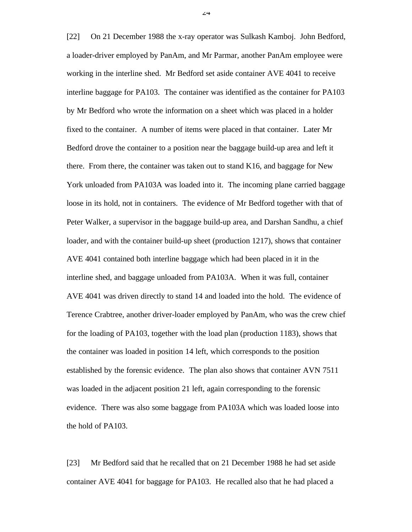[22] On 21 December 1988 the x-ray operator was Sulkash Kamboj. John Bedford, a loader-driver employed by PanAm, and Mr Parmar, another PanAm employee were working in the interline shed. Mr Bedford set aside container AVE 4041 to receive interline baggage for PA103. The container was identified as the container for PA103 by Mr Bedford who wrote the information on a sheet which was placed in a holder fixed to the container. A number of items were placed in that container. Later Mr Bedford drove the container to a position near the baggage build-up area and left it there. From there, the container was taken out to stand K16, and baggage for New York unloaded from PA103A was loaded into it. The incoming plane carried baggage loose in its hold, not in containers. The evidence of Mr Bedford together with that of Peter Walker, a supervisor in the baggage build-up area, and Darshan Sandhu, a chief loader, and with the container build-up sheet (production 1217), shows that container AVE 4041 contained both interline baggage which had been placed in it in the interline shed, and baggage unloaded from PA103A. When it was full, container AVE 4041 was driven directly to stand 14 and loaded into the hold. The evidence of Terence Crabtree, another driver-loader employed by PanAm, who was the crew chief for the loading of PA103, together with the load plan (production 1183), shows that the container was loaded in position 14 left, which corresponds to the position established by the forensic evidence. The plan also shows that container AVN 7511 was loaded in the adjacent position 21 left, again corresponding to the forensic evidence. There was also some baggage from PA103A which was loaded loose into the hold of PA103.

[23] Mr Bedford said that he recalled that on 21 December 1988 he had set aside container AVE 4041 for baggage for PA103. He recalled also that he had placed a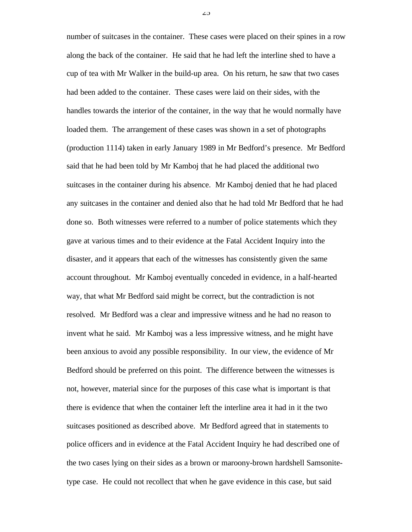number of suitcases in the container. These cases were placed on their spines in a row along the back of the container. He said that he had left the interline shed to have a cup of tea with Mr Walker in the build-up area. On his return, he saw that two cases had been added to the container. These cases were laid on their sides, with the handles towards the interior of the container, in the way that he would normally have loaded them. The arrangement of these cases was shown in a set of photographs (production 1114) taken in early January 1989 in Mr Bedford's presence. Mr Bedford said that he had been told by Mr Kamboj that he had placed the additional two suitcases in the container during his absence. Mr Kamboj denied that he had placed any suitcases in the container and denied also that he had told Mr Bedford that he had done so. Both witnesses were referred to a number of police statements which they gave at various times and to their evidence at the Fatal Accident Inquiry into the disaster, and it appears that each of the witnesses has consistently given the same account throughout. Mr Kamboj eventually conceded in evidence, in a half-hearted way, that what Mr Bedford said might be correct, but the contradiction is not resolved. Mr Bedford was a clear and impressive witness and he had no reason to invent what he said. Mr Kamboj was a less impressive witness, and he might have been anxious to avoid any possible responsibility. In our view, the evidence of Mr Bedford should be preferred on this point. The difference between the witnesses is not, however, material since for the purposes of this case what is important is that there is evidence that when the container left the interline area it had in it the two suitcases positioned as described above. Mr Bedford agreed that in statements to police officers and in evidence at the Fatal Accident Inquiry he had described one of the two cases lying on their sides as a brown or maroony-brown hardshell Samsonitetype case. He could not recollect that when he gave evidence in this case, but said

 $\angle$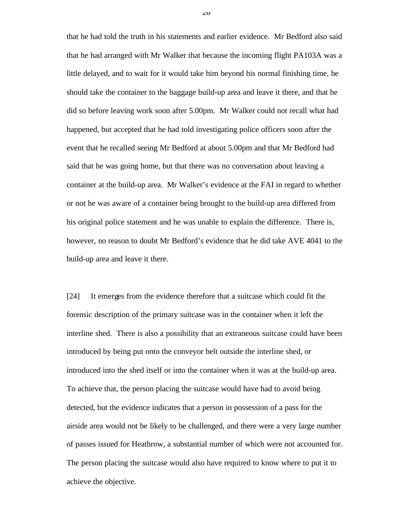that he had told the truth in his statements and earlier evidence. Mr Bedford also said that he had arranged with Mr Walker that because the incoming flight PA103A was a little delayed, and to wait for it would take him beyond his normal finishing time, he should take the container to the baggage build-up area and leave it there, and that he did so before leaving work soon after 5.00pm. Mr Walker could not recall what had happened, but accepted that he had told investigating police officers soon after the event that he recalled seeing Mr Bedford at about 5.00pm and that Mr Bedford had said that he was going home, but that there was no conversation about leaving a container at the build-up area. Mr Walker's evidence at the FAI in regard to whether or not he was aware of a container being brought to the build-up area differed from his original police statement and he was unable to explain the difference. There is, however, no reason to doubt Mr Bedford's evidence that he did take AVE 4041 to the build-up area and leave it there.

[24] It emerges from the evidence therefore that a suitcase which could fit the forensic description of the primary suitcase was in the container when it left the interline shed. There is also a possibility that an extraneous suitcase could have been introduced by being put onto the conveyor belt outside the interline shed, or introduced into the shed itself or into the container when it was at the build-up area. To achieve that, the person placing the suitcase would have had to avoid being detected, but the evidence indicates that a person in possession of a pass for the airside area would not be likely to be challenged, and there were a very large number of passes issued for Heathrow, a substantial number of which were not accounted for. The person placing the suitcase would also have required to know where to put it to achieve the objective.

 $\angle$ O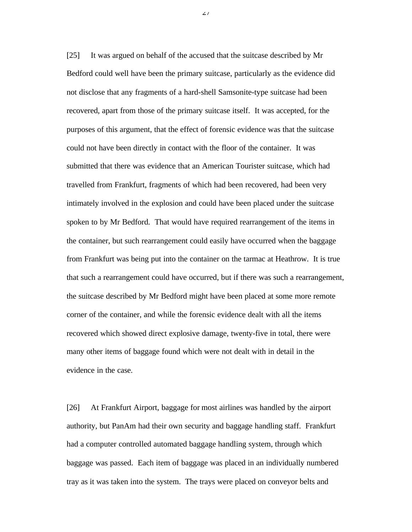[25] It was argued on behalf of the accused that the suitcase described by Mr Bedford could well have been the primary suitcase, particularly as the evidence did not disclose that any fragments of a hard-shell Samsonite-type suitcase had been recovered, apart from those of the primary suitcase itself. It was accepted, for the purposes of this argument, that the effect of forensic evidence was that the suitcase could not have been directly in contact with the floor of the container. It was submitted that there was evidence that an American Tourister suitcase, which had travelled from Frankfurt, fragments of which had been recovered, had been very intimately involved in the explosion and could have been placed under the suitcase spoken to by Mr Bedford. That would have required rearrangement of the items in the container, but such rearrangement could easily have occurred when the baggage from Frankfurt was being put into the container on the tarmac at Heathrow. It is true that such a rearrangement could have occurred, but if there was such a rearrangement, the suitcase described by Mr Bedford might have been placed at some more remote corner of the container, and while the forensic evidence dealt with all the items recovered which showed direct explosive damage, twenty-five in total, there were many other items of baggage found which were not dealt with in detail in the evidence in the case.

[26] At Frankfurt Airport, baggage for most airlines was handled by the airport authority, but PanAm had their own security and baggage handling staff. Frankfurt had a computer controlled automated baggage handling system, through which baggage was passed. Each item of baggage was placed in an individually numbered tray as it was taken into the system. The trays were placed on conveyor belts and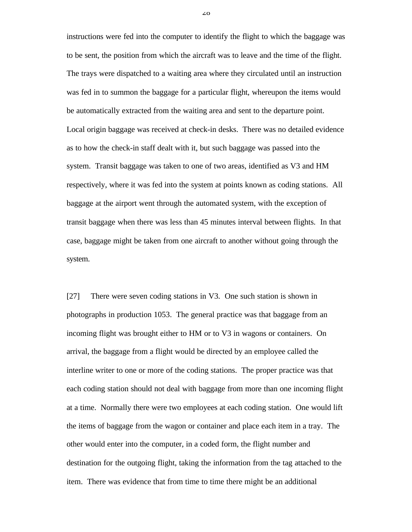instructions were fed into the computer to identify the flight to which the baggage was to be sent, the position from which the aircraft was to leave and the time of the flight. The trays were dispatched to a waiting area where they circulated until an instruction was fed in to summon the baggage for a particular flight, whereupon the items would be automatically extracted from the waiting area and sent to the departure point. Local origin baggage was received at check-in desks. There was no detailed evidence as to how the check-in staff dealt with it, but such baggage was passed into the system. Transit baggage was taken to one of two areas, identified as V3 and HM respectively, where it was fed into the system at points known as coding stations. All baggage at the airport went through the automated system, with the exception of transit baggage when there was less than 45 minutes interval between flights. In that case, baggage might be taken from one aircraft to another without going through the system.

[27] There were seven coding stations in V3. One such station is shown in photographs in production 1053. The general practice was that baggage from an incoming flight was brought either to HM or to V3 in wagons or containers. On arrival, the baggage from a flight would be directed by an employee called the interline writer to one or more of the coding stations. The proper practice was that each coding station should not deal with baggage from more than one incoming flight at a time. Normally there were two employees at each coding station. One would lift the items of baggage from the wagon or container and place each item in a tray. The other would enter into the computer, in a coded form, the flight number and destination for the outgoing flight, taking the information from the tag attached to the item. There was evidence that from time to time there might be an additional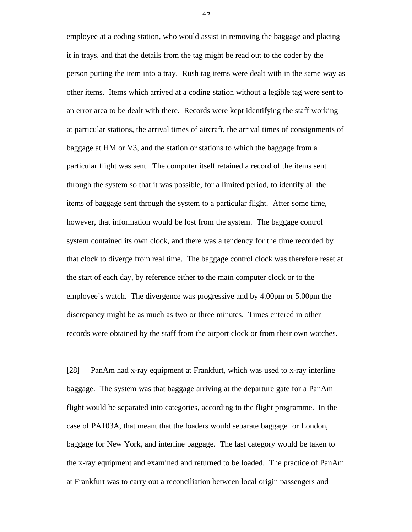employee at a coding station, who would assist in removing the baggage and placing it in trays, and that the details from the tag might be read out to the coder by the person putting the item into a tray. Rush tag items were dealt with in the same way as other items. Items which arrived at a coding station without a legible tag were sent to an error area to be dealt with there. Records were kept identifying the staff working at particular stations, the arrival times of aircraft, the arrival times of consignments of baggage at HM or V3, and the station or stations to which the baggage from a particular flight was sent. The computer itself retained a record of the items sent through the system so that it was possible, for a limited period, to identify all the items of baggage sent through the system to a particular flight. After some time, however, that information would be lost from the system. The baggage control system contained its own clock, and there was a tendency for the time recorded by that clock to diverge from real time. The baggage control clock was therefore reset at the start of each day, by reference either to the main computer clock or to the employee's watch. The divergence was progressive and by 4.00pm or 5.00pm the discrepancy might be as much as two or three minutes. Times entered in other records were obtained by the staff from the airport clock or from their own watches.

[28] PanAm had x-ray equipment at Frankfurt, which was used to x-ray interline baggage. The system was that baggage arriving at the departure gate for a PanAm flight would be separated into categories, according to the flight programme. In the case of PA103A, that meant that the loaders would separate baggage for London, baggage for New York, and interline baggage. The last category would be taken to the x-ray equipment and examined and returned to be loaded. The practice of PanAm at Frankfurt was to carry out a reconciliation between local origin passengers and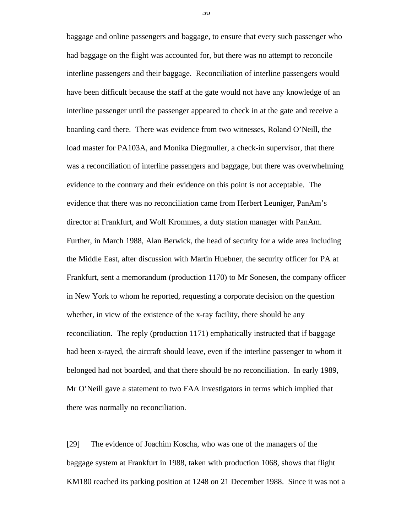baggage and online passengers and baggage, to ensure that every such passenger who had baggage on the flight was accounted for, but there was no attempt to reconcile interline passengers and their baggage. Reconciliation of interline passengers would have been difficult because the staff at the gate would not have any knowledge of an interline passenger until the passenger appeared to check in at the gate and receive a boarding card there. There was evidence from two witnesses, Roland O'Neill, the load master for PA103A, and Monika Diegmuller, a check-in supervisor, that there was a reconciliation of interline passengers and baggage, but there was overwhelming evidence to the contrary and their evidence on this point is not acceptable. The evidence that there was no reconciliation came from Herbert Leuniger, PanAm's director at Frankfurt, and Wolf Krommes, a duty station manager with PanAm. Further, in March 1988, Alan Berwick, the head of security for a wide area including the Middle East, after discussion with Martin Huebner, the security officer for PA at Frankfurt, sent a memorandum (production 1170) to Mr Sonesen, the company officer in New York to whom he reported, requesting a corporate decision on the question whether, in view of the existence of the x-ray facility, there should be any reconciliation. The reply (production 1171) emphatically instructed that if baggage had been x-rayed, the aircraft should leave, even if the interline passenger to whom it belonged had not boarded, and that there should be no reconciliation. In early 1989, Mr O'Neill gave a statement to two FAA investigators in terms which implied that there was normally no reconciliation.

[29] The evidence of Joachim Koscha, who was one of the managers of the baggage system at Frankfurt in 1988, taken with production 1068, shows that flight KM180 reached its parking position at 1248 on 21 December 1988. Since it was not a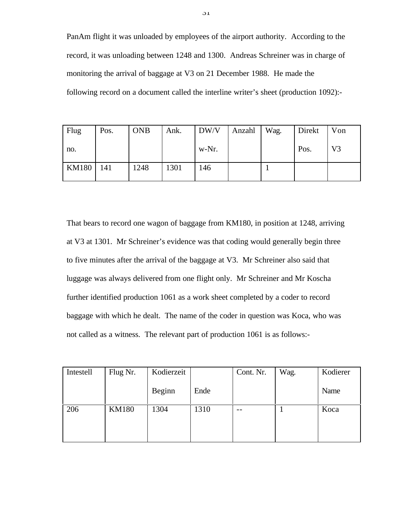PanAm flight it was unloaded by employees of the airport authority. According to the record, it was unloading between 1248 and 1300. Andreas Schreiner was in charge of monitoring the arrival of baggage at V3 on 21 December 1988. He made the following record on a document called the interline writer's sheet (production 1092):-

| Flug         | Pos. | <b>ONB</b> | Ank. | DW/V  | Anzahl | Wag. | Direkt | Von            |
|--------------|------|------------|------|-------|--------|------|--------|----------------|
| no.          |      |            |      | w-Nr. |        |      | Pos.   | V <sub>3</sub> |
| <b>KM180</b> | 141  | 1248       | 1301 | 146   |        |      |        |                |

That bears to record one wagon of baggage from KM180, in position at 1248, arriving at V3 at 1301. Mr Schreiner's evidence was that coding would generally begin three to five minutes after the arrival of the baggage at V3. Mr Schreiner also said that luggage was always delivered from one flight only. Mr Schreiner and Mr Koscha further identified production 1061 as a work sheet completed by a coder to record baggage with which he dealt. The name of the coder in question was Koca, who was not called as a witness. The relevant part of production 1061 is as follows:-

| Intestell | Flug Nr.     | Kodierzeit |      | Cont. Nr. | Wag. | Kodierer |
|-----------|--------------|------------|------|-----------|------|----------|
|           |              | Beginn     | Ende |           |      | Name     |
| 206       | <b>KM180</b> | 1304       | 1310 | $- -$     |      | Koca     |
|           |              |            |      |           |      |          |
|           |              |            |      |           |      |          |
|           |              |            |      |           |      |          |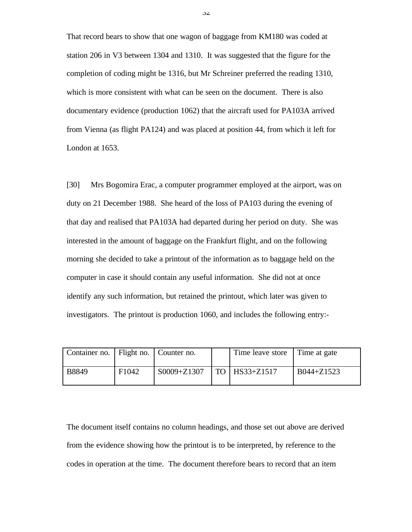That record bears to show that one wagon of baggage from KM180 was coded at station 206 in V3 between 1304 and 1310. It was suggested that the figure for the completion of coding might be 1316, but Mr Schreiner preferred the reading 1310, which is more consistent with what can be seen on the document. There is also documentary evidence (production 1062) that the aircraft used for PA103A arrived from Vienna (as flight PA124) and was placed at position 44, from which it left for London at 1653.

[30] Mrs Bogomira Erac, a computer programmer employed at the airport, was on duty on 21 December 1988. She heard of the loss of PA103 during the evening of that day and realised that PA103A had departed during her period on duty. She was interested in the amount of baggage on the Frankfurt flight, and on the following morning she decided to take a printout of the information as to baggage held on the computer in case it should contain any useful information. She did not at once identify any such information, but retained the printout, which later was given to investigators. The printout is production 1060, and includes the following entry:-

| Container no.   Flight no.   Counter no. |                   |                 | Time leave store  | Time at gate |
|------------------------------------------|-------------------|-----------------|-------------------|--------------|
| B8849                                    | F <sub>1042</sub> | $S0009 + Z1307$ | $TO   HSS3+Z1517$ | B044+Z1523   |

The document itself contains no column headings, and those set out above are derived from the evidence showing how the printout is to be interpreted, by reference to the codes in operation at the time. The document therefore bears to record that an item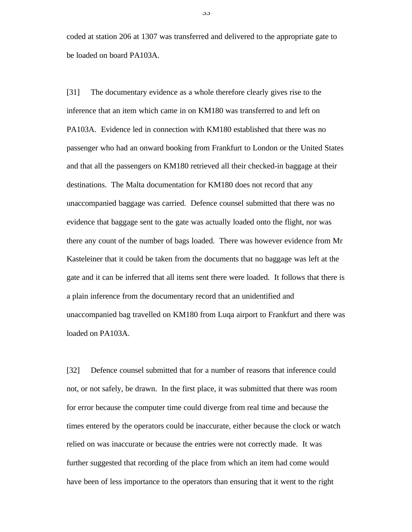coded at station 206 at 1307 was transferred and delivered to the appropriate gate to be loaded on board PA103A.

[31] The documentary evidence as a whole therefore clearly gives rise to the inference that an item which came in on KM180 was transferred to and left on PA103A. Evidence led in connection with KM180 established that there was no passenger who had an onward booking from Frankfurt to London or the United States and that all the passengers on KM180 retrieved all their checked-in baggage at their destinations. The Malta documentation for KM180 does not record that any unaccompanied baggage was carried. Defence counsel submitted that there was no evidence that baggage sent to the gate was actually loaded onto the flight, nor was there any count of the number of bags loaded. There was however evidence from Mr Kasteleiner that it could be taken from the documents that no baggage was left at the gate and it can be inferred that all items sent there were loaded. It follows that there is a plain inference from the documentary record that an unidentified and unaccompanied bag travelled on KM180 from Luqa airport to Frankfurt and there was loaded on PA103A.

[32] Defence counsel submitted that for a number of reasons that inference could not, or not safely, be drawn. In the first place, it was submitted that there was room for error because the computer time could diverge from real time and because the times entered by the operators could be inaccurate, either because the clock or watch relied on was inaccurate or because the entries were not correctly made. It was further suggested that recording of the place from which an item had come would have been of less importance to the operators than ensuring that it went to the right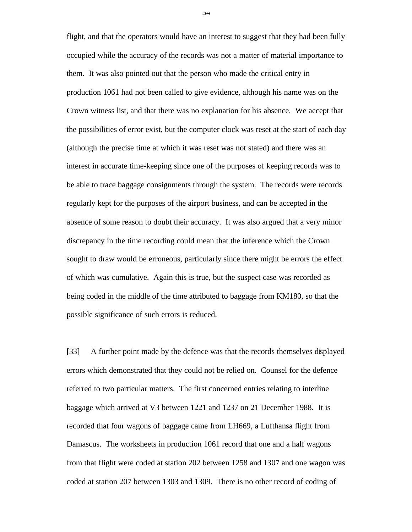flight, and that the operators would have an interest to suggest that they had been fully occupied while the accuracy of the records was not a matter of material importance to them. It was also pointed out that the person who made the critical entry in production 1061 had not been called to give evidence, although his name was on the Crown witness list, and that there was no explanation for his absence. We accept that the possibilities of error exist, but the computer clock was reset at the start of each day (although the precise time at which it was reset was not stated) and there was an interest in accurate time-keeping since one of the purposes of keeping records was to be able to trace baggage consignments through the system. The records were records regularly kept for the purposes of the airport business, and can be accepted in the absence of some reason to doubt their accuracy. It was also argued that a very minor discrepancy in the time recording could mean that the inference which the Crown sought to draw would be erroneous, particularly since there might be errors the effect of which was cumulative. Again this is true, but the suspect case was recorded as being coded in the middle of the time attributed to baggage from KM180, so that the possible significance of such errors is reduced.

[33] A further point made by the defence was that the records themselves displayed errors which demonstrated that they could not be relied on. Counsel for the defence referred to two particular matters. The first concerned entries relating to interline baggage which arrived at V3 between 1221 and 1237 on 21 December 1988. It is recorded that four wagons of baggage came from LH669, a Lufthansa flight from Damascus. The worksheets in production 1061 record that one and a half wagons from that flight were coded at station 202 between 1258 and 1307 and one wagon was coded at station 207 between 1303 and 1309. There is no other record of coding of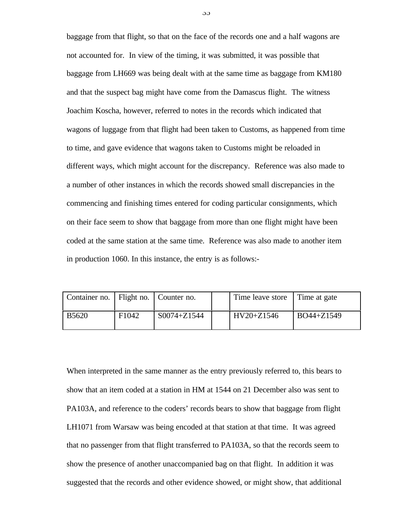baggage from that flight, so that on the face of the records one and a half wagons are not accounted for. In view of the timing, it was submitted, it was possible that baggage from LH669 was being dealt with at the same time as baggage from KM180 and that the suspect bag might have come from the Damascus flight. The witness Joachim Koscha, however, referred to notes in the records which indicated that wagons of luggage from that flight had been taken to Customs, as happened from time to time, and gave evidence that wagons taken to Customs might be reloaded in different ways, which might account for the discrepancy. Reference was also made to a number of other instances in which the records showed small discrepancies in the commencing and finishing times entered for coding particular consignments, which on their face seem to show that baggage from more than one flight might have been coded at the same station at the same time. Reference was also made to another item in production 1060. In this instance, the entry is as follows:-

| Container no.   Flight no.   Counter no. |                   |                 | Time leave store | Time at gate |
|------------------------------------------|-------------------|-----------------|------------------|--------------|
| <b>B5620</b>                             | F <sub>1042</sub> | $S0074 + Z1544$ | HV20+Z1546       | BO44+Z1549   |

When interpreted in the same manner as the entry previously referred to, this bears to show that an item coded at a station in HM at 1544 on 21 December also was sent to PA103A, and reference to the coders' records bears to show that baggage from flight LH1071 from Warsaw was being encoded at that station at that time. It was agreed that no passenger from that flight transferred to PA103A, so that the records seem to show the presence of another unaccompanied bag on that flight. In addition it was suggested that the records and other evidence showed, or might show, that additional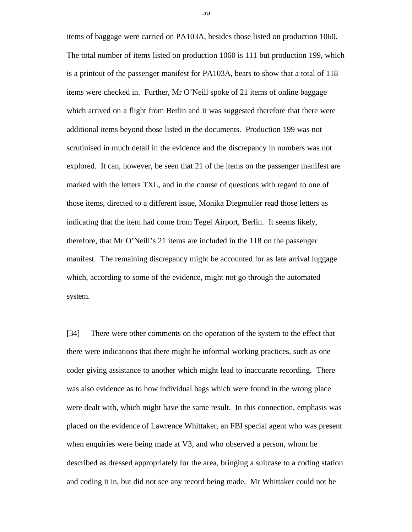items of baggage were carried on PA103A, besides those listed on production 1060. The total number of items listed on production 1060 is 111 but production 199, which is a printout of the passenger manifest for PA103A, bears to show that a total of 118 items were checked in. Further, Mr O'Neill spoke of 21 items of online baggage which arrived on a flight from Berlin and it was suggested therefore that there were additional items beyond those listed in the documents. Production 199 was not scrutinised in much detail in the evidence and the discrepancy in numbers was not explored. It can, however, be seen that 21 of the items on the passenger manifest are marked with the letters TXL, and in the course of questions with regard to one of those items, directed to a different issue, Monika Diegmuller read those letters as indicating that the item had come from Tegel Airport, Berlin. It seems likely, therefore, that Mr O'Neill's 21 items are included in the 118 on the passenger manifest. The remaining discrepancy might be accounted for as late arrival luggage which, according to some of the evidence, might not go through the automated system.

[34] There were other comments on the operation of the system to the effect that there were indications that there might be informal working practices, such as one coder giving assistance to another which might lead to inaccurate recording. There was also evidence as to how individual bags which were found in the wrong place were dealt with, which might have the same result. In this connection, emphasis was placed on the evidence of Lawrence Whittaker, an FBI special agent who was present when enquiries were being made at V3, and who observed a person, whom he described as dressed appropriately for the area, bringing a suitcase to a coding station and coding it in, but did not see any record being made. Mr Whittaker could not be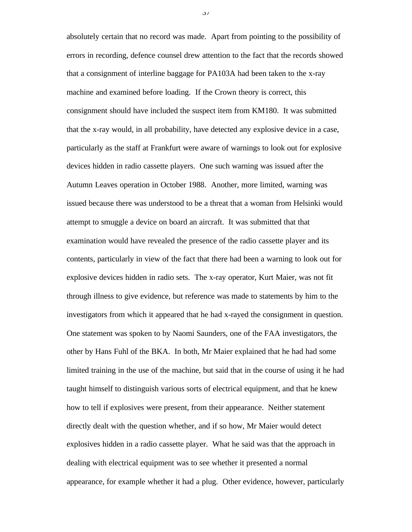absolutely certain that no record was made. Apart from pointing to the possibility of errors in recording, defence counsel drew attention to the fact that the records showed that a consignment of interline baggage for PA103A had been taken to the x-ray machine and examined before loading. If the Crown theory is correct, this consignment should have included the suspect item from KM180. It was submitted that the x-ray would, in all probability, have detected any explosive device in a case, particularly as the staff at Frankfurt were aware of warnings to look out for explosive devices hidden in radio cassette players. One such warning was issued after the Autumn Leaves operation in October 1988. Another, more limited, warning was issued because there was understood to be a threat that a woman from Helsinki would attempt to smuggle a device on board an aircraft. It was submitted that that examination would have revealed the presence of the radio cassette player and its contents, particularly in view of the fact that there had been a warning to look out for explosive devices hidden in radio sets. The x-ray operator, Kurt Maier, was not fit through illness to give evidence, but reference was made to statements by him to the investigators from which it appeared that he had x-rayed the consignment in question. One statement was spoken to by Naomi Saunders, one of the FAA investigators, the other by Hans Fuhl of the BKA. In both, Mr Maier explained that he had had some limited training in the use of the machine, but said that in the course of using it he had taught himself to distinguish various sorts of electrical equipment, and that he knew how to tell if explosives were present, from their appearance. Neither statement directly dealt with the question whether, and if so how, Mr Maier would detect explosives hidden in a radio cassette player. What he said was that the approach in dealing with electrical equipment was to see whether it presented a normal appearance, for example whether it had a plug. Other evidence, however, particularly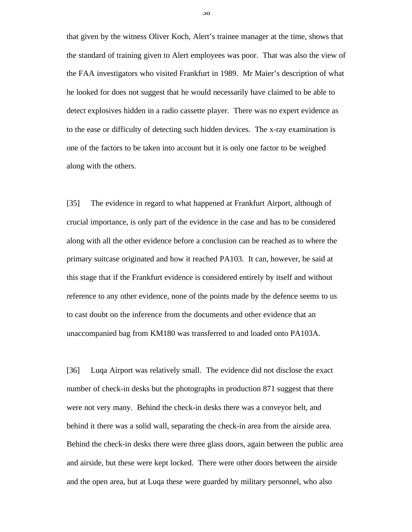that given by the witness Oliver Koch, Alert's trainee manager at the time, shows that the standard of training given to Alert employees was poor. That was also the view of the FAA investigators who visited Frankfurt in 1989. Mr Maier's description of what he looked for does not suggest that he would necessarily have claimed to be able to detect explosives hidden in a radio cassette player. There was no expert evidence as to the ease or difficulty of detecting such hidden devices. The x-ray examination is one of the factors to be taken into account but it is only one factor to be weighed along with the others.

[35] The evidence in regard to what happened at Frankfurt Airport, although of crucial importance, is only part of the evidence in the case and has to be considered along with all the other evidence before a conclusion can be reached as to where the primary suitcase originated and how it reached PA103. It can, however, be said at this stage that if the Frankfurt evidence is considered entirely by itself and without reference to any other evidence, none of the points made by the defence seems to us to cast doubt on the inference from the documents and other evidence that an unaccompanied bag from KM180 was transferred to and loaded onto PA103A.

[36] Luqa Airport was relatively small. The evidence did not disclose the exact number of check-in desks but the photographs in production 871 suggest that there were not very many. Behind the check-in desks there was a conveyor belt, and behind it there was a solid wall, separating the check-in area from the airside area. Behind the check-in desks there were three glass doors, again between the public area and airside, but these were kept locked. There were other doors between the airside and the open area, but at Luqa these were guarded by military personnel, who also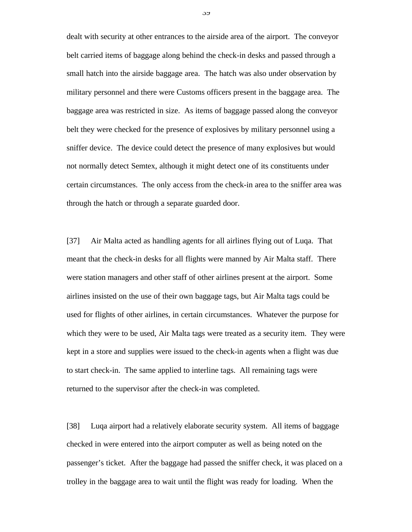dealt with security at other entrances to the airside area of the airport. The conveyor belt carried items of baggage along behind the check-in desks and passed through a small hatch into the airside baggage area. The hatch was also under observation by military personnel and there were Customs officers present in the baggage area. The baggage area was restricted in size. As items of baggage passed along the conveyor belt they were checked for the presence of explosives by military personnel using a sniffer device. The device could detect the presence of many explosives but would not normally detect Semtex, although it might detect one of its constituents under certain circumstances. The only access from the check-in area to the sniffer area was through the hatch or through a separate guarded door.

[37] Air Malta acted as handling agents for all airlines flying out of Luqa. That meant that the check-in desks for all flights were manned by Air Malta staff. There were station managers and other staff of other airlines present at the airport. Some airlines insisted on the use of their own baggage tags, but Air Malta tags could be used for flights of other airlines, in certain circumstances. Whatever the purpose for which they were to be used, Air Malta tags were treated as a security item. They were kept in a store and supplies were issued to the check-in agents when a flight was due to start check-in. The same applied to interline tags. All remaining tags were returned to the supervisor after the check-in was completed.

[38] Luqa airport had a relatively elaborate security system. All items of baggage checked in were entered into the airport computer as well as being noted on the passenger's ticket. After the baggage had passed the sniffer check, it was placed on a trolley in the baggage area to wait until the flight was ready for loading. When the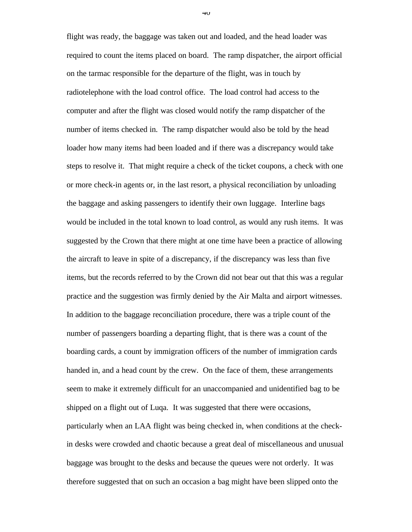flight was ready, the baggage was taken out and loaded, and the head loader was required to count the items placed on board. The ramp dispatcher, the airport official on the tarmac responsible for the departure of the flight, was in touch by radiotelephone with the load control office. The load control had access to the computer and after the flight was closed would notify the ramp dispatcher of the number of items checked in. The ramp dispatcher would also be told by the head loader how many items had been loaded and if there was a discrepancy would take steps to resolve it. That might require a check of the ticket coupons, a check with one or more check-in agents or, in the last resort, a physical reconciliation by unloading the baggage and asking passengers to identify their own luggage. Interline bags would be included in the total known to load control, as would any rush items. It was suggested by the Crown that there might at one time have been a practice of allowing the aircraft to leave in spite of a discrepancy, if the discrepancy was less than five items, but the records referred to by the Crown did not bear out that this was a regular practice and the suggestion was firmly denied by the Air Malta and airport witnesses. In addition to the baggage reconciliation procedure, there was a triple count of the number of passengers boarding a departing flight, that is there was a count of the boarding cards, a count by immigration officers of the number of immigration cards handed in, and a head count by the crew. On the face of them, these arrangements seem to make it extremely difficult for an unaccompanied and unidentified bag to be shipped on a flight out of Luqa. It was suggested that there were occasions, particularly when an LAA flight was being checked in, when conditions at the checkin desks were crowded and chaotic because a great deal of miscellaneous and unusual baggage was brought to the desks and because the queues were not orderly. It was therefore suggested that on such an occasion a bag might have been slipped onto the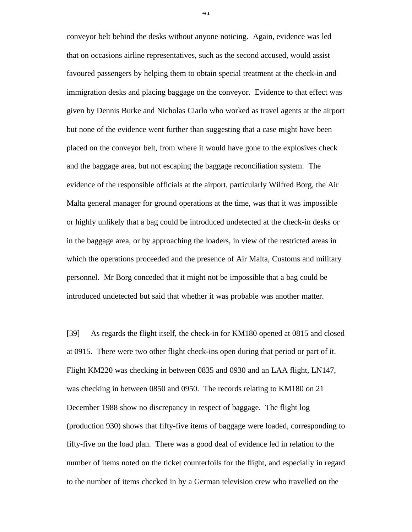conveyor belt behind the desks without anyone noticing. Again, evidence was led that on occasions airline representatives, such as the second accused, would assist favoured passengers by helping them to obtain special treatment at the check-in and immigration desks and placing baggage on the conveyor. Evidence to that effect was given by Dennis Burke and Nicholas Ciarlo who worked as travel agents at the airport but none of the evidence went further than suggesting that a case might have been placed on the conveyor belt, from where it would have gone to the explosives check and the baggage area, but not escaping the baggage reconciliation system. The evidence of the responsible officials at the airport, particularly Wilfred Borg, the Air Malta general manager for ground operations at the time, was that it was impossible or highly unlikely that a bag could be introduced undetected at the check-in desks or in the baggage area, or by approaching the loaders, in view of the restricted areas in which the operations proceeded and the presence of Air Malta, Customs and military personnel. Mr Borg conceded that it might not be impossible that a bag could be introduced undetected but said that whether it was probable was another matter.

[39] As regards the flight itself, the check-in for KM180 opened at 0815 and closed at 0915. There were two other flight check-ins open during that period or part of it. Flight KM220 was checking in between 0835 and 0930 and an LAA flight, LN147, was checking in between 0850 and 0950. The records relating to KM180 on 21 December 1988 show no discrepancy in respect of baggage. The flight log (production 930) shows that fifty-five items of baggage were loaded, corresponding to fifty-five on the load plan. There was a good deal of evidence led in relation to the number of items noted on the ticket counterfoils for the flight, and especially in regard to the number of items checked in by a German television crew who travelled on the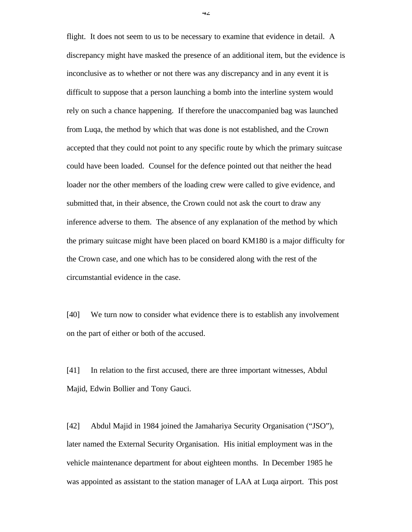flight. It does not seem to us to be necessary to examine that evidence in detail. A discrepancy might have masked the presence of an additional item, but the evidence is inconclusive as to whether or not there was any discrepancy and in any event it is difficult to suppose that a person launching a bomb into the interline system would rely on such a chance happening. If therefore the unaccompanied bag was launched from Luqa, the method by which that was done is not established, and the Crown accepted that they could not point to any specific route by which the primary suitcase could have been loaded. Counsel for the defence pointed out that neither the head loader nor the other members of the loading crew were called to give evidence, and submitted that, in their absence, the Crown could not ask the court to draw any inference adverse to them. The absence of any explanation of the method by which the primary suitcase might have been placed on board KM180 is a major difficulty for the Crown case, and one which has to be considered along with the rest of the circumstantial evidence in the case.

[40] We turn now to consider what evidence there is to establish any involvement on the part of either or both of the accused.

[41] In relation to the first accused, there are three important witnesses, Abdul Majid, Edwin Bollier and Tony Gauci.

[42] Abdul Majid in 1984 joined the Jamahariya Security Organisation ("JSO"), later named the External Security Organisation. His initial employment was in the vehicle maintenance department for about eighteen months. In December 1985 he was appointed as assistant to the station manager of LAA at Luqa airport. This post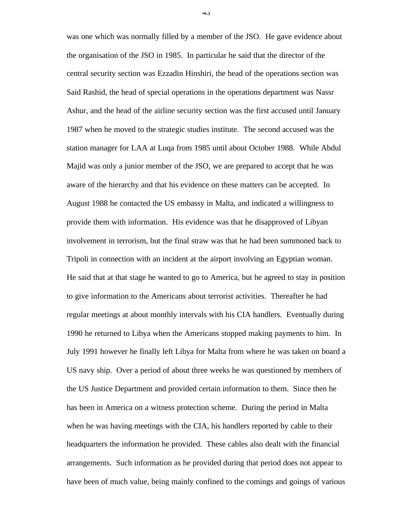was one which was normally filled by a member of the JSO. He gave evidence about the organisation of the JSO in 1985. In particular he said that the director of the central security section was Ezzadin Hinshiri, the head of the operations section was Said Rashid, the head of special operations in the operations department was Nassr Ashur, and the head of the airline security section was the first accused until January 1987 when he moved to the strategic studies institute. The second accused was the station manager for LAA at Luqa from 1985 until about October 1988. While Abdul Majid was only a junior member of the JSO, we are prepared to accept that he was aware of the hierarchy and that his evidence on these matters can be accepted. In August 1988 he contacted the US embassy in Malta, and indicated a willingness to provide them with information. His evidence was that he disapproved of Libyan involvement in terrorism, but the final straw was that he had been summoned back to Tripoli in connection with an incident at the airport involving an Egyptian woman. He said that at that stage he wanted to go to America, but he agreed to stay in position to give information to the Americans about terrorist activities. Thereafter he had regular meetings at about monthly intervals with his CIA handlers. Eventually during 1990 he returned to Libya when the Americans stopped making payments to him. In July 1991 however he finally left Libya for Malta from where he was taken on board a US navy ship. Over a period of about three weeks he was questioned by members of the US Justice Department and provided certain information to them. Since then he has been in America on a witness protection scheme. During the period in Malta when he was having meetings with the CIA, his handlers reported by cable to their headquarters the information he provided. These cables also dealt with the financial arrangements. Such information as he provided during that period does not appear to have been of much value, being mainly confined to the comings and goings of various

 $4.3$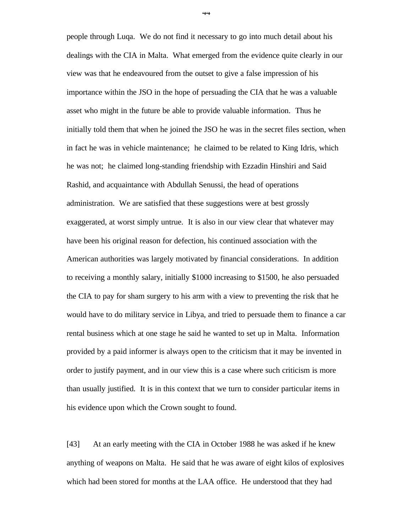people through Luqa. We do not find it necessary to go into much detail about his dealings with the CIA in Malta. What emerged from the evidence quite clearly in our view was that he endeavoured from the outset to give a false impression of his importance within the JSO in the hope of persuading the CIA that he was a valuable asset who might in the future be able to provide valuable information. Thus he initially told them that when he joined the JSO he was in the secret files section, when in fact he was in vehicle maintenance; he claimed to be related to King Idris, which he was not; he claimed long-standing friendship with Ezzadin Hinshiri and Said Rashid, and acquaintance with Abdullah Senussi, the head of operations administration. We are satisfied that these suggestions were at best grossly exaggerated, at worst simply untrue. It is also in our view clear that whatever may have been his original reason for defection, his continued association with the American authorities was largely motivated by financial considerations. In addition to receiving a monthly salary, initially \$1000 increasing to \$1500, he also persuaded the CIA to pay for sham surgery to his arm with a view to preventing the risk that he would have to do military service in Libya, and tried to persuade them to finance a car rental business which at one stage he said he wanted to set up in Malta. Information provided by a paid informer is always open to the criticism that it may be invented in order to justify payment, and in our view this is a case where such criticism is more than usually justified. It is in this context that we turn to consider particular items in his evidence upon which the Crown sought to found.

[43] At an early meeting with the CIA in October 1988 he was asked if he knew anything of weapons on Malta. He said that he was aware of eight kilos of explosives which had been stored for months at the LAA office. He understood that they had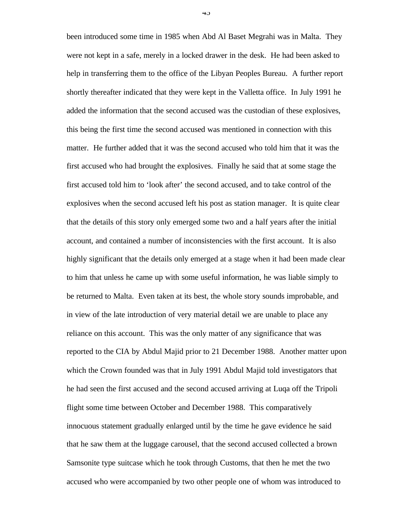been introduced some time in 1985 when Abd Al Baset Megrahi was in Malta. They were not kept in a safe, merely in a locked drawer in the desk. He had been asked to help in transferring them to the office of the Libyan Peoples Bureau. A further report shortly thereafter indicated that they were kept in the Valletta office. In July 1991 he added the information that the second accused was the custodian of these explosives, this being the first time the second accused was mentioned in connection with this matter. He further added that it was the second accused who told him that it was the first accused who had brought the explosives. Finally he said that at some stage the first accused told him to 'look after' the second accused, and to take control of the explosives when the second accused left his post as station manager. It is quite clear that the details of this story only emerged some two and a half years after the initial account, and contained a number of inconsistencies with the first account. It is also highly significant that the details only emerged at a stage when it had been made clear to him that unless he came up with some useful information, he was liable simply to be returned to Malta. Even taken at its best, the whole story sounds improbable, and in view of the late introduction of very material detail we are unable to place any reliance on this account. This was the only matter of any significance that was reported to the CIA by Abdul Majid prior to 21 December 1988. Another matter upon which the Crown founded was that in July 1991 Abdul Majid told investigators that he had seen the first accused and the second accused arriving at Luqa off the Tripoli flight some time between October and December 1988. This comparatively innocuous statement gradually enlarged until by the time he gave evidence he said that he saw them at the luggage carousel, that the second accused collected a brown Samsonite type suitcase which he took through Customs, that then he met the two accused who were accompanied by two other people one of whom was introduced to

 $4.3$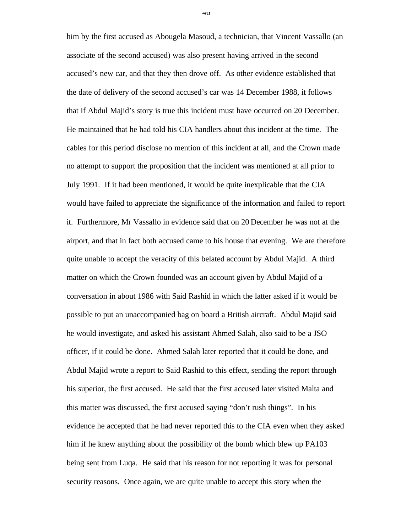him by the first accused as Abougela Masoud, a technician, that Vincent Vassallo (an associate of the second accused) was also present having arrived in the second accused's new car, and that they then drove off. As other evidence established that the date of delivery of the second accused's car was 14 December 1988, it follows that if Abdul Majid's story is true this incident must have occurred on 20 December. He maintained that he had told his CIA handlers about this incident at the time. The cables for this period disclose no mention of this incident at all, and the Crown made no attempt to support the proposition that the incident was mentioned at all prior to July 1991. If it had been mentioned, it would be quite inexplicable that the CIA would have failed to appreciate the significance of the information and failed to report it. Furthermore, Mr Vassallo in evidence said that on 20 December he was not at the airport, and that in fact both accused came to his house that evening. We are therefore quite unable to accept the veracity of this belated account by Abdul Majid. A third matter on which the Crown founded was an account given by Abdul Majid of a conversation in about 1986 with Said Rashid in which the latter asked if it would be possible to put an unaccompanied bag on board a British aircraft. Abdul Majid said he would investigate, and asked his assistant Ahmed Salah, also said to be a JSO officer, if it could be done. Ahmed Salah later reported that it could be done, and Abdul Majid wrote a report to Said Rashid to this effect, sending the report through his superior, the first accused. He said that the first accused later visited Malta and this matter was discussed, the first accused saying "don't rush things". In his evidence he accepted that he had never reported this to the CIA even when they asked him if he knew anything about the possibility of the bomb which blew up PA103 being sent from Luqa. He said that his reason for not reporting it was for personal security reasons. Once again, we are quite unable to accept this story when the

 $40^{1}$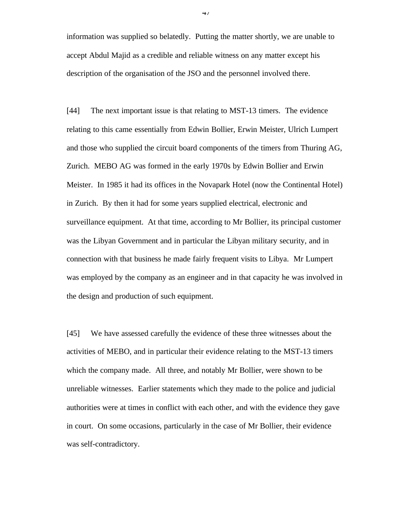information was supplied so belatedly. Putting the matter shortly, we are unable to accept Abdul Majid as a credible and reliable witness on any matter except his description of the organisation of the JSO and the personnel involved there.

[44] The next important issue is that relating to MST-13 timers. The evidence relating to this came essentially from Edwin Bollier, Erwin Meister, Ulrich Lumpert and those who supplied the circuit board components of the timers from Thuring AG, Zurich. MEBO AG was formed in the early 1970s by Edwin Bollier and Erwin Meister. In 1985 it had its offices in the Novapark Hotel (now the Continental Hotel) in Zurich. By then it had for some years supplied electrical, electronic and surveillance equipment. At that time, according to Mr Bollier, its principal customer was the Libyan Government and in particular the Libyan military security, and in connection with that business he made fairly frequent visits to Libya. Mr Lumpert was employed by the company as an engineer and in that capacity he was involved in the design and production of such equipment.

[45] We have assessed carefully the evidence of these three witnesses about the activities of MEBO, and in particular their evidence relating to the MST-13 timers which the company made. All three, and notably Mr Bollier, were shown to be unreliable witnesses. Earlier statements which they made to the police and judicial authorities were at times in conflict with each other, and with the evidence they gave in court. On some occasions, particularly in the case of Mr Bollier, their evidence was self-contradictory.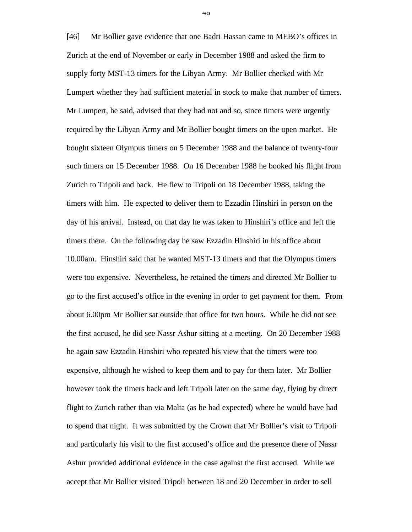[46] Mr Bollier gave evidence that one Badri Hassan came to MEBO's offices in Zurich at the end of November or early in December 1988 and asked the firm to supply forty MST-13 timers for the Libyan Army. Mr Bollier checked with Mr Lumpert whether they had sufficient material in stock to make that number of timers. Mr Lumpert, he said, advised that they had not and so, since timers were urgently required by the Libyan Army and Mr Bollier bought timers on the open market. He bought sixteen Olympus timers on 5 December 1988 and the balance of twenty-four such timers on 15 December 1988. On 16 December 1988 he booked his flight from Zurich to Tripoli and back. He flew to Tripoli on 18 December 1988, taking the timers with him. He expected to deliver them to Ezzadin Hinshiri in person on the day of his arrival. Instead, on that day he was taken to Hinshiri's office and left the timers there. On the following day he saw Ezzadin Hinshiri in his office about 10.00am. Hinshiri said that he wanted MST-13 timers and that the Olympus timers were too expensive. Nevertheless, he retained the timers and directed Mr Bollier to go to the first accused's office in the evening in order to get payment for them. From about 6.00pm Mr Bollier sat outside that office for two hours. While he did not see the first accused, he did see Nassr Ashur sitting at a meeting. On 20 December 1988 he again saw Ezzadin Hinshiri who repeated his view that the timers were too expensive, although he wished to keep them and to pay for them later. Mr Bollier however took the timers back and left Tripoli later on the same day, flying by direct flight to Zurich rather than via Malta (as he had expected) where he would have had to spend that night. It was submitted by the Crown that Mr Bollier's visit to Tripoli and particularly his visit to the first accused's office and the presence there of Nassr Ashur provided additional evidence in the case against the first accused. While we accept that Mr Bollier visited Tripoli between 18 and 20 December in order to sell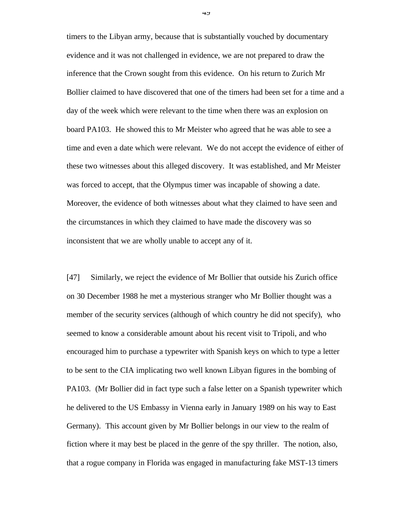timers to the Libyan army, because that is substantially vouched by documentary evidence and it was not challenged in evidence, we are not prepared to draw the inference that the Crown sought from this evidence. On his return to Zurich Mr Bollier claimed to have discovered that one of the timers had been set for a time and a day of the week which were relevant to the time when there was an explosion on board PA103. He showed this to Mr Meister who agreed that he was able to see a time and even a date which were relevant. We do not accept the evidence of either of these two witnesses about this alleged discovery. It was established, and Mr Meister was forced to accept, that the Olympus timer was incapable of showing a date. Moreover, the evidence of both witnesses about what they claimed to have seen and the circumstances in which they claimed to have made the discovery was so inconsistent that we are wholly unable to accept any of it.

[47] Similarly, we reject the evidence of Mr Bollier that outside his Zurich office on 30 December 1988 he met a mysterious stranger who Mr Bollier thought was a member of the security services (although of which country he did not specify), who seemed to know a considerable amount about his recent visit to Tripoli, and who encouraged him to purchase a typewriter with Spanish keys on which to type a letter to be sent to the CIA implicating two well known Libyan figures in the bombing of PA103. (Mr Bollier did in fact type such a false letter on a Spanish typewriter which he delivered to the US Embassy in Vienna early in January 1989 on his way to East Germany). This account given by Mr Bollier belongs in our view to the realm of fiction where it may best be placed in the genre of the spy thriller. The notion, also, that a rogue company in Florida was engaged in manufacturing fake MST-13 timers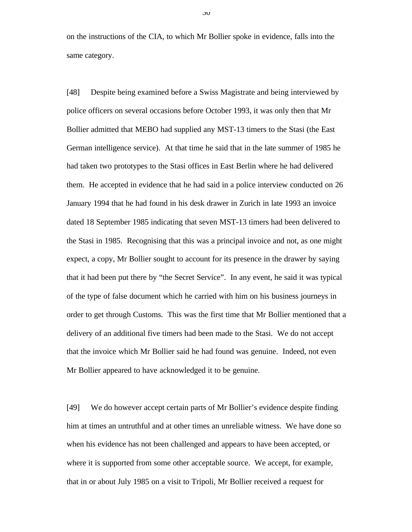on the instructions of the CIA, to which Mr Bollier spoke in evidence, falls into the same category.

[48] Despite being examined before a Swiss Magistrate and being interviewed by police officers on several occasions before October 1993, it was only then that Mr Bollier admitted that MEBO had supplied any MST-13 timers to the Stasi (the East German intelligence service). At that time he said that in the late summer of 1985 he had taken two prototypes to the Stasi offices in East Berlin where he had delivered them. He accepted in evidence that he had said in a police interview conducted on 26 January 1994 that he had found in his desk drawer in Zurich in late 1993 an invoice dated 18 September 1985 indicating that seven MST-13 timers had been delivered to the Stasi in 1985. Recognising that this was a principal invoice and not, as one might expect, a copy, Mr Bollier sought to account for its presence in the drawer by saying that it had been put there by "the Secret Service". In any event, he said it was typical of the type of false document which he carried with him on his business journeys in order to get through Customs. This was the first time that Mr Bollier mentioned that a delivery of an additional five timers had been made to the Stasi. We do not accept that the invoice which Mr Bollier said he had found was genuine. Indeed, not even Mr Bollier appeared to have acknowledged it to be genuine.

[49] We do however accept certain parts of Mr Bollier's evidence despite finding him at times an untruthful and at other times an unreliable witness. We have done so when his evidence has not been challenged and appears to have been accepted, or where it is supported from some other acceptable source. We accept, for example, that in or about July 1985 on a visit to Tripoli, Mr Bollier received a request for

 $JU$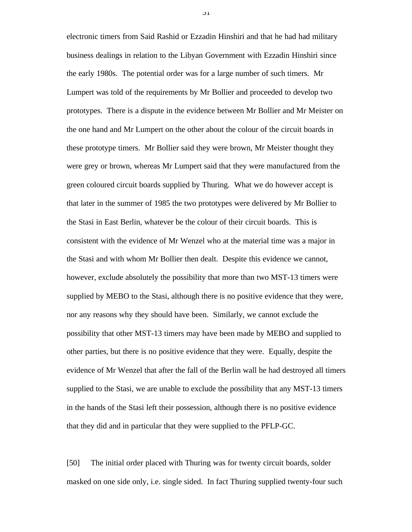electronic timers from Said Rashid or Ezzadin Hinshiri and that he had had military business dealings in relation to the Libyan Government with Ezzadin Hinshiri since the early 1980s. The potential order was for a large number of such timers. Mr Lumpert was told of the requirements by Mr Bollier and proceeded to develop two prototypes. There is a dispute in the evidence between Mr Bollier and Mr Meister on the one hand and Mr Lumpert on the other about the colour of the circuit boards in these prototype timers. Mr Bollier said they were brown, Mr Meister thought they were grey or brown, whereas Mr Lumpert said that they were manufactured from the green coloured circuit boards supplied by Thuring. What we do however accept is that later in the summer of 1985 the two prototypes were delivered by Mr Bollier to the Stasi in East Berlin, whatever be the colour of their circuit boards. This is consistent with the evidence of Mr Wenzel who at the material time was a major in the Stasi and with whom Mr Bollier then dealt. Despite this evidence we cannot, however, exclude absolutely the possibility that more than two MST-13 timers were supplied by MEBO to the Stasi, although there is no positive evidence that they were, nor any reasons why they should have been. Similarly, we cannot exclude the possibility that other MST-13 timers may have been made by MEBO and supplied to other parties, but there is no positive evidence that they were. Equally, despite the evidence of Mr Wenzel that after the fall of the Berlin wall he had destroyed all timers supplied to the Stasi, we are unable to exclude the possibility that any MST-13 timers in the hands of the Stasi left their possession, although there is no positive evidence that they did and in particular that they were supplied to the PFLP-GC.

[50] The initial order placed with Thuring was for twenty circuit boards, solder masked on one side only, i.e. single sided. In fact Thuring supplied twenty-four such

 $J<sub>1</sub>$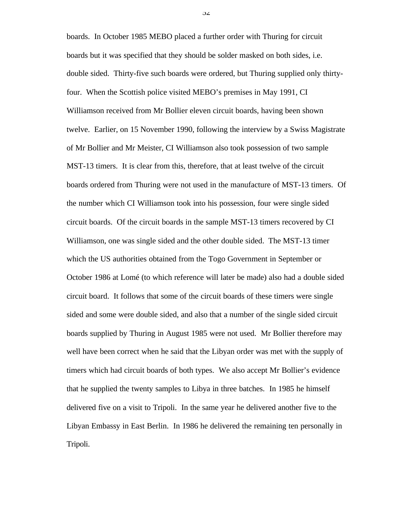boards. In October 1985 MEBO placed a further order with Thuring for circuit boards but it was specified that they should be solder masked on both sides, i.e. double sided. Thirty-five such boards were ordered, but Thuring supplied only thirtyfour. When the Scottish police visited MEBO's premises in May 1991, CI Williamson received from Mr Bollier eleven circuit boards, having been shown twelve. Earlier, on 15 November 1990, following the interview by a Swiss Magistrate of Mr Bollier and Mr Meister, CI Williamson also took possession of two sample MST-13 timers. It is clear from this, therefore, that at least twelve of the circuit boards ordered from Thuring were not used in the manufacture of MST-13 timers. Of the number which CI Williamson took into his possession, four were single sided circuit boards. Of the circuit boards in the sample MST-13 timers recovered by CI Williamson, one was single sided and the other double sided. The MST-13 timer which the US authorities obtained from the Togo Government in September or October 1986 at Lomé (to which reference will later be made) also had a double sided circuit board. It follows that some of the circuit boards of these timers were single sided and some were double sided, and also that a number of the single sided circuit boards supplied by Thuring in August 1985 were not used. Mr Bollier therefore may well have been correct when he said that the Libyan order was met with the supply of timers which had circuit boards of both types. We also accept Mr Bollier's evidence that he supplied the twenty samples to Libya in three batches. In 1985 he himself delivered five on a visit to Tripoli. In the same year he delivered another five to the Libyan Embassy in East Berlin. In 1986 he delivered the remaining ten personally in Tripoli.

 $J\angle$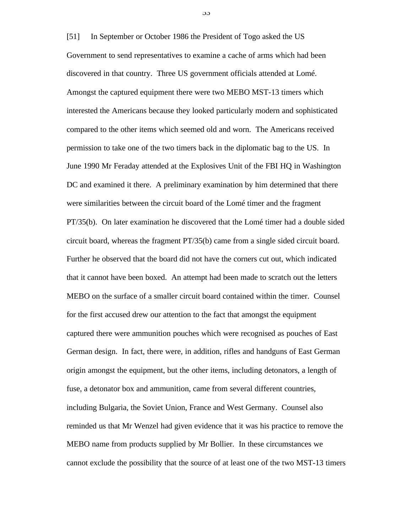[51] In September or October 1986 the President of Togo asked the US Government to send representatives to examine a cache of arms which had been discovered in that country. Three US government officials attended at Lomé. Amongst the captured equipment there were two MEBO MST-13 timers which interested the Americans because they looked particularly modern and sophisticated compared to the other items which seemed old and worn. The Americans received permission to take one of the two timers back in the diplomatic bag to the US. In June 1990 Mr Feraday attended at the Explosives Unit of the FBI HQ in Washington DC and examined it there. A preliminary examination by him determined that there were similarities between the circuit board of the Lomé timer and the fragment PT/35(b). On later examination he discovered that the Lomé timer had a double sided circuit board, whereas the fragment PT/35(b) came from a single sided circuit board. Further he observed that the board did not have the corners cut out, which indicated that it cannot have been boxed. An attempt had been made to scratch out the letters MEBO on the surface of a smaller circuit board contained within the timer. Counsel for the first accused drew our attention to the fact that amongst the equipment captured there were ammunition pouches which were recognised as pouches of East German design. In fact, there were, in addition, rifles and handguns of East German origin amongst the equipment, but the other items, including detonators, a length of fuse, a detonator box and ammunition, came from several different countries, including Bulgaria, the Soviet Union, France and West Germany. Counsel also reminded us that Mr Wenzel had given evidence that it was his practice to remove the MEBO name from products supplied by Mr Bollier. In these circumstances we cannot exclude the possibility that the source of at least one of the two MST-13 timers

د د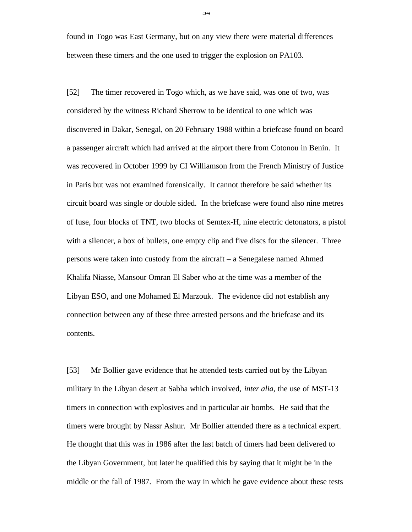found in Togo was East Germany, but on any view there were material differences between these timers and the one used to trigger the explosion on PA103.

[52] The timer recovered in Togo which, as we have said, was one of two, was considered by the witness Richard Sherrow to be identical to one which was discovered in Dakar, Senegal, on 20 February 1988 within a briefcase found on board a passenger aircraft which had arrived at the airport there from Cotonou in Benin. It was recovered in October 1999 by CI Williamson from the French Ministry of Justice in Paris but was not examined forensically. It cannot therefore be said whether its circuit board was single or double sided. In the briefcase were found also nine metres of fuse, four blocks of TNT, two blocks of Semtex-H, nine electric detonators, a pistol with a silencer, a box of bullets, one empty clip and five discs for the silencer. Three persons were taken into custody from the aircraft – a Senegalese named Ahmed Khalifa Niasse, Mansour Omran El Saber who at the time was a member of the Libyan ESO, and one Mohamed El Marzouk. The evidence did not establish any connection between any of these three arrested persons and the briefcase and its contents.

[53] Mr Bollier gave evidence that he attended tests carried out by the Libyan military in the Libyan desert at Sabha which involved, *inter alia*, the use of MST-13 timers in connection with explosives and in particular air bombs. He said that the timers were brought by Nassr Ashur. Mr Bollier attended there as a technical expert. He thought that this was in 1986 after the last batch of timers had been delivered to the Libyan Government, but later he qualified this by saying that it might be in the middle or the fall of 1987. From the way in which he gave evidence about these tests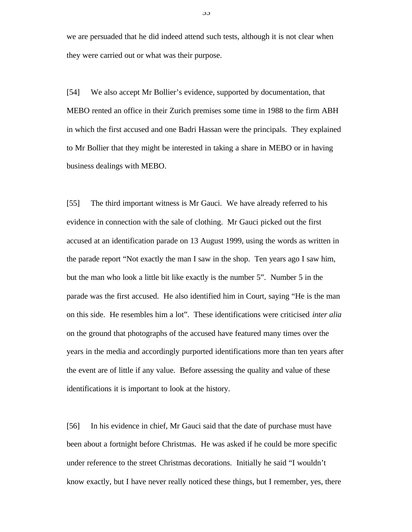we are persuaded that he did indeed attend such tests, although it is not clear when they were carried out or what was their purpose.

[54] We also accept Mr Bollier's evidence, supported by documentation, that MEBO rented an office in their Zurich premises some time in 1988 to the firm ABH in which the first accused and one Badri Hassan were the principals. They explained to Mr Bollier that they might be interested in taking a share in MEBO or in having business dealings with MEBO.

[55] The third important witness is Mr Gauci. We have already referred to his evidence in connection with the sale of clothing. Mr Gauci picked out the first accused at an identification parade on 13 August 1999, using the words as written in the parade report "Not exactly the man I saw in the shop. Ten years ago I saw him, but the man who look a little bit like exactly is the number 5". Number 5 in the parade was the first accused. He also identified him in Court, saying "He is the man on this side. He resembles him a lot". These identifications were criticised *inter alia* on the ground that photographs of the accused have featured many times over the years in the media and accordingly purported identifications more than ten years after the event are of little if any value. Before assessing the quality and value of these identifications it is important to look at the history.

[56] In his evidence in chief, Mr Gauci said that the date of purchase must have been about a fortnight before Christmas. He was asked if he could be more specific under reference to the street Christmas decorations. Initially he said "I wouldn't know exactly, but I have never really noticed these things, but I remember, yes, there

ر ر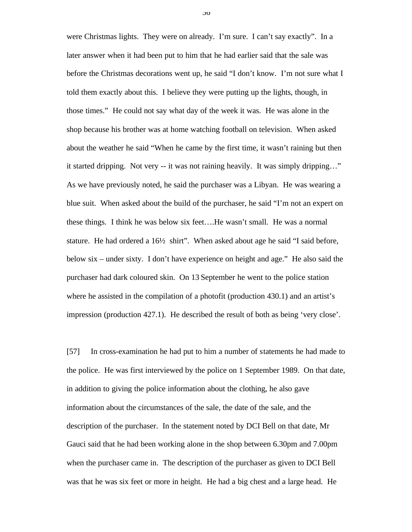were Christmas lights. They were on already. I'm sure. I can't say exactly". In a later answer when it had been put to him that he had earlier said that the sale was before the Christmas decorations went up, he said "I don't know. I'm not sure what I told them exactly about this. I believe they were putting up the lights, though, in those times." He could not say what day of the week it was. He was alone in the shop because his brother was at home watching football on television. When asked about the weather he said "When he came by the first time, it wasn't raining but then it started dripping. Not very -- it was not raining heavily. It was simply dripping…" As we have previously noted, he said the purchaser was a Libyan. He was wearing a blue suit. When asked about the build of the purchaser, he said "I'm not an expert on these things. I think he was below six feet….He wasn't small. He was a normal stature. He had ordered a 16½ shirt". When asked about age he said "I said before, below six – under sixty. I don't have experience on height and age." He also said the purchaser had dark coloured skin. On 13 September he went to the police station where he assisted in the compilation of a photofit (production 430.1) and an artist's impression (production 427.1). He described the result of both as being 'very close'.

[57] In cross-examination he had put to him a number of statements he had made to the police. He was first interviewed by the police on 1 September 1989. On that date, in addition to giving the police information about the clothing, he also gave information about the circumstances of the sale, the date of the sale, and the description of the purchaser. In the statement noted by DCI Bell on that date, Mr Gauci said that he had been working alone in the shop between 6.30pm and 7.00pm when the purchaser came in. The description of the purchaser as given to DCI Bell was that he was six feet or more in height. He had a big chest and a large head. He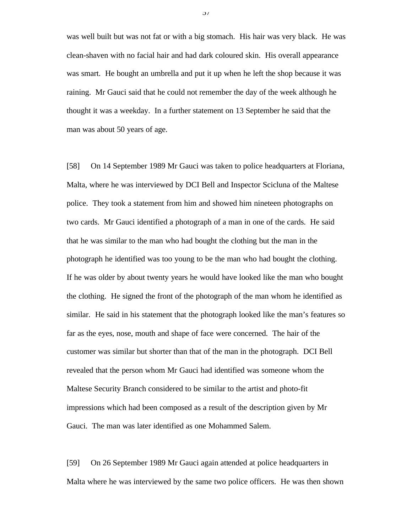was well built but was not fat or with a big stomach. His hair was very black. He was clean-shaven with no facial hair and had dark coloured skin. His overall appearance was smart. He bought an umbrella and put it up when he left the shop because it was raining. Mr Gauci said that he could not remember the day of the week although he thought it was a weekday. In a further statement on 13 September he said that the man was about 50 years of age.

[58] On 14 September 1989 Mr Gauci was taken to police headquarters at Floriana, Malta, where he was interviewed by DCI Bell and Inspector Scicluna of the Maltese police. They took a statement from him and showed him nineteen photographs on two cards. Mr Gauci identified a photograph of a man in one of the cards. He said that he was similar to the man who had bought the clothing but the man in the photograph he identified was too young to be the man who had bought the clothing. If he was older by about twenty years he would have looked like the man who bought the clothing. He signed the front of the photograph of the man whom he identified as similar. He said in his statement that the photograph looked like the man's features so far as the eyes, nose, mouth and shape of face were concerned. The hair of the customer was similar but shorter than that of the man in the photograph. DCI Bell revealed that the person whom Mr Gauci had identified was someone whom the Maltese Security Branch considered to be similar to the artist and photo-fit impressions which had been composed as a result of the description given by Mr Gauci. The man was later identified as one Mohammed Salem.

[59] On 26 September 1989 Mr Gauci again attended at police headquarters in Malta where he was interviewed by the same two police officers. He was then shown

 $J<sub>1</sub>$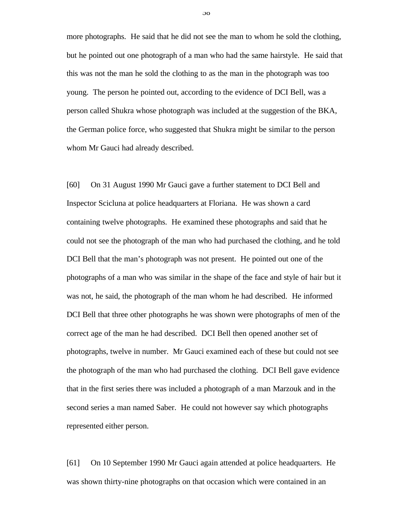more photographs. He said that he did not see the man to whom he sold the clothing, but he pointed out one photograph of a man who had the same hairstyle. He said that this was not the man he sold the clothing to as the man in the photograph was too young. The person he pointed out, according to the evidence of DCI Bell, was a person called Shukra whose photograph was included at the suggestion of the BKA, the German police force, who suggested that Shukra might be similar to the person whom Mr Gauci had already described.

[60] On 31 August 1990 Mr Gauci gave a further statement to DCI Bell and Inspector Scicluna at police headquarters at Floriana. He was shown a card containing twelve photographs. He examined these photographs and said that he could not see the photograph of the man who had purchased the clothing, and he told DCI Bell that the man's photograph was not present. He pointed out one of the photographs of a man who was similar in the shape of the face and style of hair but it was not, he said, the photograph of the man whom he had described. He informed DCI Bell that three other photographs he was shown were photographs of men of the correct age of the man he had described. DCI Bell then opened another set of photographs, twelve in number. Mr Gauci examined each of these but could not see the photograph of the man who had purchased the clothing. DCI Bell gave evidence that in the first series there was included a photograph of a man Marzouk and in the second series a man named Saber. He could not however say which photographs represented either person.

[61] On 10 September 1990 Mr Gauci again attended at police headquarters. He was shown thirty-nine photographs on that occasion which were contained in an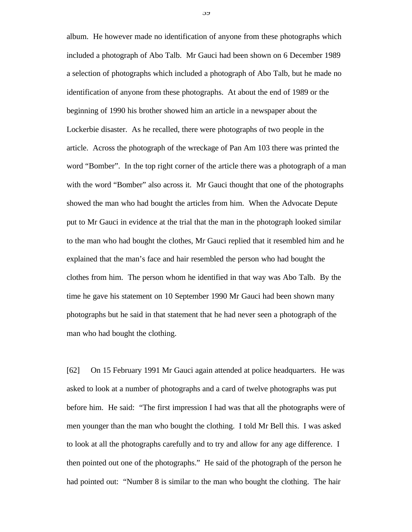album. He however made no identification of anyone from these photographs which included a photograph of Abo Talb. Mr Gauci had been shown on 6 December 1989 a selection of photographs which included a photograph of Abo Talb, but he made no identification of anyone from these photographs. At about the end of 1989 or the beginning of 1990 his brother showed him an article in a newspaper about the Lockerbie disaster. As he recalled, there were photographs of two people in the article. Across the photograph of the wreckage of Pan Am 103 there was printed the word "Bomber". In the top right corner of the article there was a photograph of a man with the word "Bomber" also across it. Mr Gauci thought that one of the photographs showed the man who had bought the articles from him. When the Advocate Depute put to Mr Gauci in evidence at the trial that the man in the photograph looked similar to the man who had bought the clothes, Mr Gauci replied that it resembled him and he explained that the man's face and hair resembled the person who had bought the clothes from him. The person whom he identified in that way was Abo Talb. By the time he gave his statement on 10 September 1990 Mr Gauci had been shown many photographs but he said in that statement that he had never seen a photograph of the man who had bought the clothing.

[62] On 15 February 1991 Mr Gauci again attended at police headquarters. He was asked to look at a number of photographs and a card of twelve photographs was put before him. He said: "The first impression I had was that all the photographs were of men younger than the man who bought the clothing. I told Mr Bell this. I was asked to look at all the photographs carefully and to try and allow for any age difference. I then pointed out one of the photographs." He said of the photograph of the person he had pointed out: "Number 8 is similar to the man who bought the clothing. The hair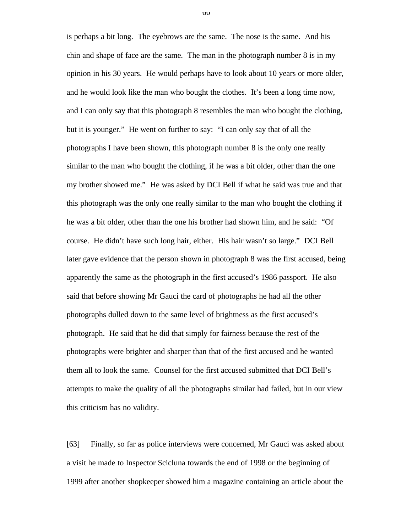is perhaps a bit long. The eyebrows are the same. The nose is the same. And his chin and shape of face are the same. The man in the photograph number 8 is in my opinion in his 30 years. He would perhaps have to look about 10 years or more older, and he would look like the man who bought the clothes. It's been a long time now, and I can only say that this photograph 8 resembles the man who bought the clothing, but it is younger." He went on further to say: "I can only say that of all the photographs I have been shown, this photograph number 8 is the only one really similar to the man who bought the clothing, if he was a bit older, other than the one my brother showed me." He was asked by DCI Bell if what he said was true and that this photograph was the only one really similar to the man who bought the clothing if he was a bit older, other than the one his brother had shown him, and he said: "Of course. He didn't have such long hair, either. His hair wasn't so large." DCI Bell later gave evidence that the person shown in photograph 8 was the first accused, being apparently the same as the photograph in the first accused's 1986 passport. He also said that before showing Mr Gauci the card of photographs he had all the other photographs dulled down to the same level of brightness as the first accused's photograph. He said that he did that simply for fairness because the rest of the photographs were brighter and sharper than that of the first accused and he wanted them all to look the same. Counsel for the first accused submitted that DCI Bell's attempts to make the quality of all the photographs similar had failed, but in our view this criticism has no validity.

[63] Finally, so far as police interviews were concerned, Mr Gauci was asked about a visit he made to Inspector Scicluna towards the end of 1998 or the beginning of 1999 after another shopkeeper showed him a magazine containing an article about the

 $0U$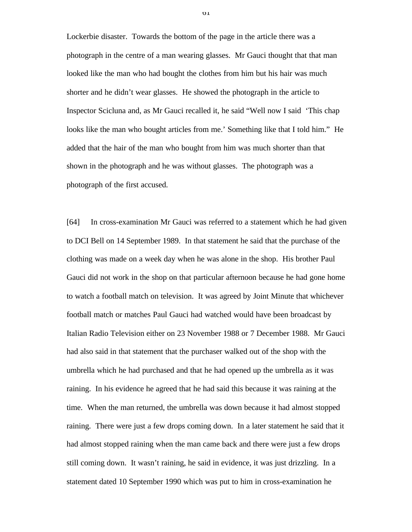Lockerbie disaster. Towards the bottom of the page in the article there was a photograph in the centre of a man wearing glasses. Mr Gauci thought that that man looked like the man who had bought the clothes from him but his hair was much shorter and he didn't wear glasses. He showed the photograph in the article to Inspector Scicluna and, as Mr Gauci recalled it, he said "Well now I said 'This chap looks like the man who bought articles from me.' Something like that I told him." He added that the hair of the man who bought from him was much shorter than that shown in the photograph and he was without glasses. The photograph was a photograph of the first accused.

[64] In cross-examination Mr Gauci was referred to a statement which he had given to DCI Bell on 14 September 1989. In that statement he said that the purchase of the clothing was made on a week day when he was alone in the shop. His brother Paul Gauci did not work in the shop on that particular afternoon because he had gone home to watch a football match on television. It was agreed by Joint Minute that whichever football match or matches Paul Gauci had watched would have been broadcast by Italian Radio Television either on 23 November 1988 or 7 December 1988. Mr Gauci had also said in that statement that the purchaser walked out of the shop with the umbrella which he had purchased and that he had opened up the umbrella as it was raining. In his evidence he agreed that he had said this because it was raining at the time. When the man returned, the umbrella was down because it had almost stopped raining. There were just a few drops coming down. In a later statement he said that it had almost stopped raining when the man came back and there were just a few drops still coming down. It wasn't raining, he said in evidence, it was just drizzling. In a statement dated 10 September 1990 which was put to him in cross-examination he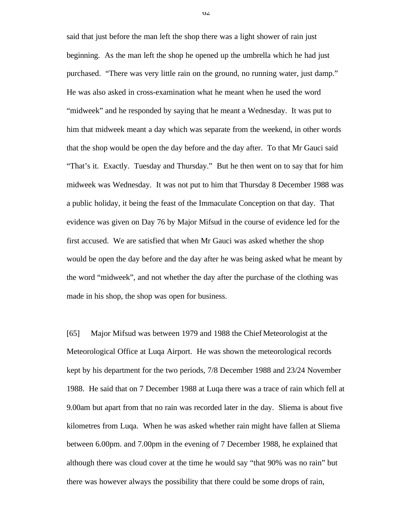said that just before the man left the shop there was a light shower of rain just beginning. As the man left the shop he opened up the umbrella which he had just purchased. "There was very little rain on the ground, no running water, just damp." He was also asked in cross-examination what he meant when he used the word "midweek" and he responded by saying that he meant a Wednesday. It was put to him that midweek meant a day which was separate from the weekend, in other words that the shop would be open the day before and the day after. To that Mr Gauci said "That's it. Exactly. Tuesday and Thursday." But he then went on to say that for him midweek was Wednesday. It was not put to him that Thursday 8 December 1988 was a public holiday, it being the feast of the Immaculate Conception on that day. That evidence was given on Day 76 by Major Mifsud in the course of evidence led for the first accused. We are satisfied that when Mr Gauci was asked whether the shop would be open the day before and the day after he was being asked what he meant by the word "midweek", and not whether the day after the purchase of the clothing was made in his shop, the shop was open for business.

[65] Major Mifsud was between 1979 and 1988 the Chief Meteorologist at the Meteorological Office at Luqa Airport. He was shown the meteorological records kept by his department for the two periods, 7/8 December 1988 and 23/24 November 1988. He said that on 7 December 1988 at Luqa there was a trace of rain which fell at 9.00am but apart from that no rain was recorded later in the day. Sliema is about five kilometres from Luqa. When he was asked whether rain might have fallen at Sliema between 6.00pm. and 7.00pm in the evening of 7 December 1988, he explained that although there was cloud cover at the time he would say "that 90% was no rain" but there was however always the possibility that there could be some drops of rain,

 $0\angle$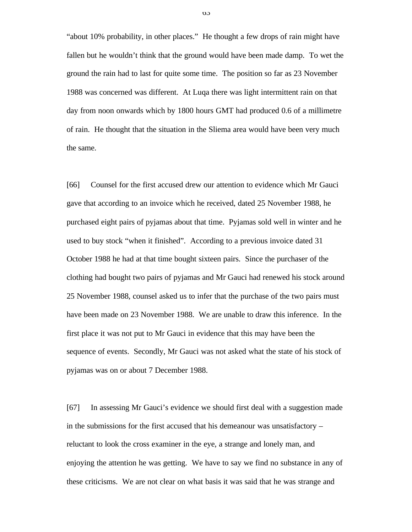"about 10% probability, in other places." He thought a few drops of rain might have fallen but he wouldn't think that the ground would have been made damp. To wet the ground the rain had to last for quite some time. The position so far as 23 November 1988 was concerned was different. At Luqa there was light intermittent rain on that day from noon onwards which by 1800 hours GMT had produced 0.6 of a millimetre of rain. He thought that the situation in the Sliema area would have been very much the same.

[66] Counsel for the first accused drew our attention to evidence which Mr Gauci gave that according to an invoice which he received, dated 25 November 1988, he purchased eight pairs of pyjamas about that time. Pyjamas sold well in winter and he used to buy stock "when it finished". According to a previous invoice dated 31 October 1988 he had at that time bought sixteen pairs. Since the purchaser of the clothing had bought two pairs of pyjamas and Mr Gauci had renewed his stock around 25 November 1988, counsel asked us to infer that the purchase of the two pairs must have been made on 23 November 1988. We are unable to draw this inference. In the first place it was not put to Mr Gauci in evidence that this may have been the sequence of events. Secondly, Mr Gauci was not asked what the state of his stock of pyjamas was on or about 7 December 1988.

[67] In assessing Mr Gauci's evidence we should first deal with a suggestion made in the submissions for the first accused that his demeanour was unsatisfactory – reluctant to look the cross examiner in the eye, a strange and lonely man, and enjoying the attention he was getting. We have to say we find no substance in any of these criticisms. We are not clear on what basis it was said that he was strange and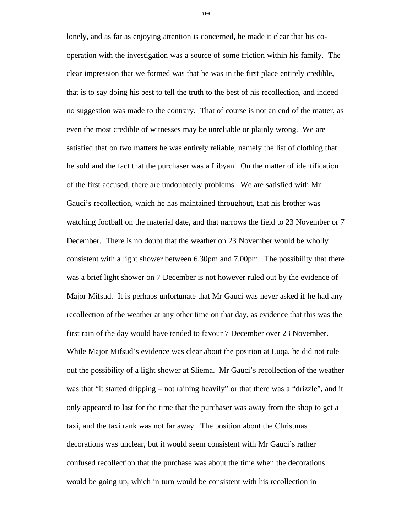lonely, and as far as enjoying attention is concerned, he made it clear that his cooperation with the investigation was a source of some friction within his family. The clear impression that we formed was that he was in the first place entirely credible, that is to say doing his best to tell the truth to the best of his recollection, and indeed no suggestion was made to the contrary. That of course is not an end of the matter, as even the most credible of witnesses may be unreliable or plainly wrong. We are satisfied that on two matters he was entirely reliable, namely the list of clothing that he sold and the fact that the purchaser was a Libyan. On the matter of identification of the first accused, there are undoubtedly problems. We are satisfied with Mr Gauci's recollection, which he has maintained throughout, that his brother was watching football on the material date, and that narrows the field to 23 November or 7 December. There is no doubt that the weather on 23 November would be wholly consistent with a light shower between 6.30pm and 7.00pm. The possibility that there was a brief light shower on 7 December is not however ruled out by the evidence of Major Mifsud. It is perhaps unfortunate that Mr Gauci was never asked if he had any recollection of the weather at any other time on that day, as evidence that this was the first rain of the day would have tended to favour 7 December over 23 November. While Major Mifsud's evidence was clear about the position at Luqa, he did not rule out the possibility of a light shower at Sliema. Mr Gauci's recollection of the weather was that "it started dripping – not raining heavily" or that there was a "drizzle", and it only appeared to last for the time that the purchaser was away from the shop to get a taxi, and the taxi rank was not far away. The position about the Christmas decorations was unclear, but it would seem consistent with Mr Gauci's rather confused recollection that the purchase was about the time when the decorations would be going up, which in turn would be consistent with his recollection in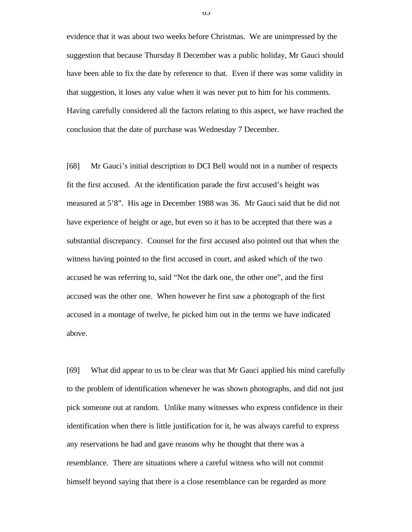evidence that it was about two weeks before Christmas. We are unimpressed by the suggestion that because Thursday 8 December was a public holiday, Mr Gauci should have been able to fix the date by reference to that. Even if there was some validity in that suggestion, it loses any value when it was never put to him for his comments. Having carefully considered all the factors relating to this aspect, we have reached the conclusion that the date of purchase was Wednesday 7 December.

[68] Mr Gauci's initial description to DCI Bell would not in a number of respects fit the first accused. At the identification parade the first accused's height was measured at 5'8". His age in December 1988 was 36. Mr Gauci said that he did not have experience of height or age, but even so it has to be accepted that there was a substantial discrepancy. Counsel for the first accused also pointed out that when the witness having pointed to the first accused in court, and asked which of the two accused he was referring to, said "Not the dark one, the other one", and the first accused was the other one. When however he first saw a photograph of the first accused in a montage of twelve, he picked him out in the terms we have indicated above.

[69] What did appear to us to be clear was that Mr Gauci applied his mind carefully to the problem of identification whenever he was shown photographs, and did not just pick someone out at random. Unlike many witnesses who express confidence in their identification when there is little justification for it, he was always careful to express any reservations he had and gave reasons why he thought that there was a resemblance. There are situations where a careful witness who will not commit himself beyond saying that there is a close resemblance can be regarded as more

 $0<sub>5</sub>$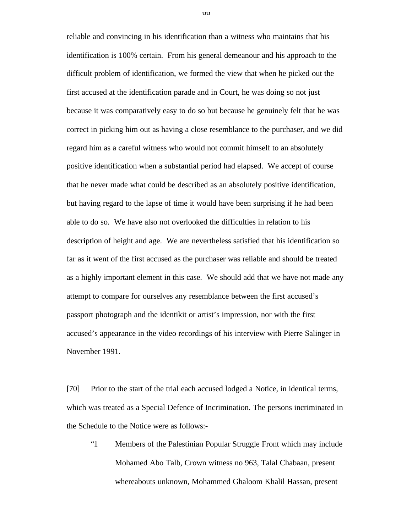reliable and convincing in his identification than a witness who maintains that his identification is 100% certain. From his general demeanour and his approach to the difficult problem of identification, we formed the view that when he picked out the first accused at the identification parade and in Court, he was doing so not just because it was comparatively easy to do so but because he genuinely felt that he was correct in picking him out as having a close resemblance to the purchaser, and we did regard him as a careful witness who would not commit himself to an absolutely positive identification when a substantial period had elapsed. We accept of course that he never made what could be described as an absolutely positive identification, but having regard to the lapse of time it would have been surprising if he had been able to do so. We have also not overlooked the difficulties in relation to his description of height and age. We are nevertheless satisfied that his identification so far as it went of the first accused as the purchaser was reliable and should be treated as a highly important element in this case. We should add that we have not made any attempt to compare for ourselves any resemblance between the first accused's passport photograph and the identikit or artist's impression, nor with the first accused's appearance in the video recordings of his interview with Pierre Salinger in November 1991.

[70] Prior to the start of the trial each accused lodged a Notice, in identical terms, which was treated as a Special Defence of Incrimination. The persons incriminated in the Schedule to the Notice were as follows:-

"1 Members of the Palestinian Popular Struggle Front which may include Mohamed Abo Talb, Crown witness no 963, Talal Chabaan, present whereabouts unknown, Mohammed Ghaloom Khalil Hassan, present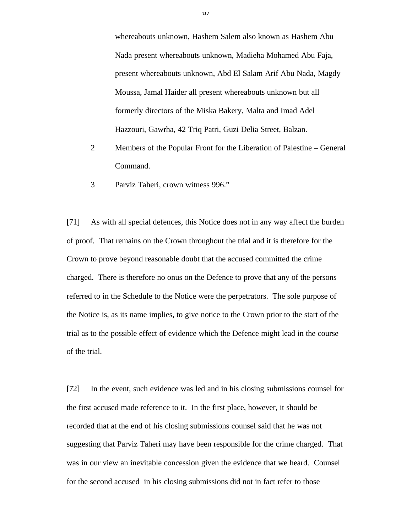whereabouts unknown, Hashem Salem also known as Hashem Abu Nada present whereabouts unknown, Madieha Mohamed Abu Faja, present whereabouts unknown, Abd El Salam Arif Abu Nada, Magdy Moussa, Jamal Haider all present whereabouts unknown but all formerly directors of the Miska Bakery, Malta and Imad Adel Hazzouri, Gawrha, 42 Triq Patri, Guzi Delia Street, Balzan.

- 2 Members of the Popular Front for the Liberation of Palestine General Command.
- 3 Parviz Taheri, crown witness 996."

[71] As with all special defences, this Notice does not in any way affect the burden of proof. That remains on the Crown throughout the trial and it is therefore for the Crown to prove beyond reasonable doubt that the accused committed the crime charged. There is therefore no onus on the Defence to prove that any of the persons referred to in the Schedule to the Notice were the perpetrators. The sole purpose of the Notice is, as its name implies, to give notice to the Crown prior to the start of the trial as to the possible effect of evidence which the Defence might lead in the course of the trial.

[72] In the event, such evidence was led and in his closing submissions counsel for the first accused made reference to it. In the first place, however, it should be recorded that at the end of his closing submissions counsel said that he was not suggesting that Parviz Taheri may have been responsible for the crime charged. That was in our view an inevitable concession given the evidence that we heard. Counsel for the second accused in his closing submissions did not in fact refer to those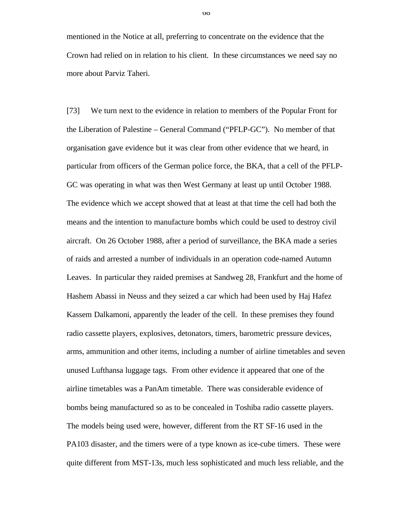mentioned in the Notice at all, preferring to concentrate on the evidence that the Crown had relied on in relation to his client. In these circumstances we need say no more about Parviz Taheri.

[73] We turn next to the evidence in relation to members of the Popular Front for the Liberation of Palestine – General Command ("PFLP-GC"). No member of that organisation gave evidence but it was clear from other evidence that we heard, in particular from officers of the German police force, the BKA, that a cell of the PFLP-GC was operating in what was then West Germany at least up until October 1988. The evidence which we accept showed that at least at that time the cell had both the means and the intention to manufacture bombs which could be used to destroy civil aircraft. On 26 October 1988, after a period of surveillance, the BKA made a series of raids and arrested a number of individuals in an operation code-named Autumn Leaves. In particular they raided premises at Sandweg 28, Frankfurt and the home of Hashem Abassi in Neuss and they seized a car which had been used by Haj Hafez Kassem Dalkamoni, apparently the leader of the cell. In these premises they found radio cassette players, explosives, detonators, timers, barometric pressure devices, arms, ammunition and other items, including a number of airline timetables and seven unused Lufthansa luggage tags. From other evidence it appeared that one of the airline timetables was a PanAm timetable. There was considerable evidence of bombs being manufactured so as to be concealed in Toshiba radio cassette players. The models being used were, however, different from the RT SF-16 used in the PA103 disaster, and the timers were of a type known as ice-cube timers. These were quite different from MST-13s, much less sophisticated and much less reliable, and the

 $0<sub>0</sub>$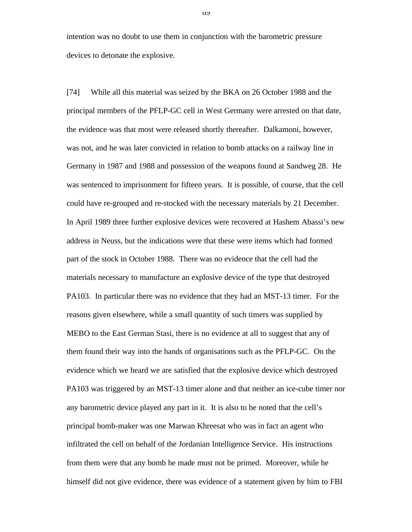intention was no doubt to use them in conjunction with the barometric pressure devices to detonate the explosive.

[74] While all this material was seized by the BKA on 26 October 1988 and the principal members of the PFLP-GC cell in West Germany were arrested on that date, the evidence was that most were released shortly thereafter. Dalkamoni, however, was not, and he was later convicted in relation to bomb attacks on a railway line in Germany in 1987 and 1988 and possession of the weapons found at Sandweg 28. He was sentenced to imprisonment for fifteen years. It is possible, of course, that the cell could have re-grouped and re-stocked with the necessary materials by 21 December. In April 1989 three further explosive devices were recovered at Hashem Abassi's new address in Neuss, but the indications were that these were items which had formed part of the stock in October 1988. There was no evidence that the cell had the materials necessary to manufacture an explosive device of the type that destroyed PA103. In particular there was no evidence that they had an MST-13 timer. For the reasons given elsewhere, while a small quantity of such timers was supplied by MEBO to the East German Stasi, there is no evidence at all to suggest that any of them found their way into the hands of organisations such as the PFLP-GC. On the evidence which we heard we are satisfied that the explosive device which destroyed PA103 was triggered by an MST-13 timer alone and that neither an ice-cube timer nor any barometric device played any part in it. It is also to be noted that the cell's principal bomb-maker was one Marwan Khreesat who was in fact an agent who infiltrated the cell on behalf of the Jordanian Intelligence Service. His instructions from them were that any bomb he made must not be primed. Moreover, while he himself did not give evidence, there was evidence of a statement given by him to FBI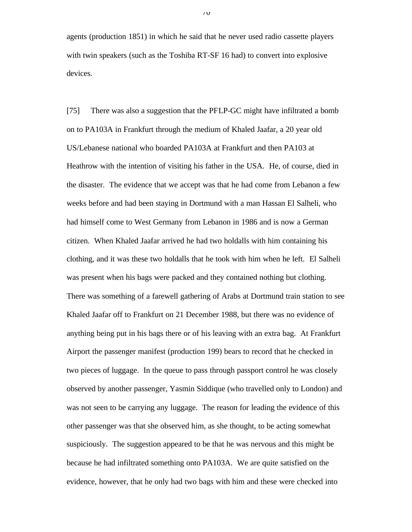agents (production 1851) in which he said that he never used radio cassette players with twin speakers (such as the Toshiba RT-SF 16 had) to convert into explosive devices.

[75] There was also a suggestion that the PFLP-GC might have infiltrated a bomb on to PA103A in Frankfurt through the medium of Khaled Jaafar, a 20 year old US/Lebanese national who boarded PA103A at Frankfurt and then PA103 at Heathrow with the intention of visiting his father in the USA. He, of course, died in the disaster. The evidence that we accept was that he had come from Lebanon a few weeks before and had been staying in Dortmund with a man Hassan El Salheli, who had himself come to West Germany from Lebanon in 1986 and is now a German citizen. When Khaled Jaafar arrived he had two holdalls with him containing his clothing, and it was these two holdalls that he took with him when he left. El Salheli was present when his bags were packed and they contained nothing but clothing. There was something of a farewell gathering of Arabs at Dortmund train station to see Khaled Jaafar off to Frankfurt on 21 December 1988, but there was no evidence of anything being put in his bags there or of his leaving with an extra bag. At Frankfurt Airport the passenger manifest (production 199) bears to record that he checked in two pieces of luggage. In the queue to pass through passport control he was closely observed by another passenger, Yasmin Siddique (who travelled only to London) and was not seen to be carrying any luggage. The reason for leading the evidence of this other passenger was that she observed him, as she thought, to be acting somewhat suspiciously. The suggestion appeared to be that he was nervous and this might be because he had infiltrated something onto PA103A. We are quite satisfied on the evidence, however, that he only had two bags with him and these were checked into

 $7<sup>0</sup>$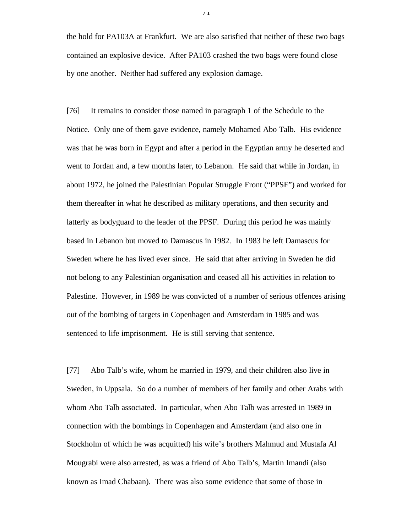the hold for PA103A at Frankfurt. We are also satisfied that neither of these two bags contained an explosive device. After PA103 crashed the two bags were found close by one another. Neither had suffered any explosion damage.

[76] It remains to consider those named in paragraph 1 of the Schedule to the Notice. Only one of them gave evidence, namely Mohamed Abo Talb. His evidence was that he was born in Egypt and after a period in the Egyptian army he deserted and went to Jordan and, a few months later, to Lebanon. He said that while in Jordan, in about 1972, he joined the Palestinian Popular Struggle Front ("PPSF") and worked for them thereafter in what he described as military operations, and then security and latterly as bodyguard to the leader of the PPSF. During this period he was mainly based in Lebanon but moved to Damascus in 1982. In 1983 he left Damascus for Sweden where he has lived ever since. He said that after arriving in Sweden he did not belong to any Palestinian organisation and ceased all his activities in relation to Palestine. However, in 1989 he was convicted of a number of serious offences arising out of the bombing of targets in Copenhagen and Amsterdam in 1985 and was sentenced to life imprisonment. He is still serving that sentence.

[77] Abo Talb's wife, whom he married in 1979, and their children also live in Sweden, in Uppsala. So do a number of members of her family and other Arabs with whom Abo Talb associated. In particular, when Abo Talb was arrested in 1989 in connection with the bombings in Copenhagen and Amsterdam (and also one in Stockholm of which he was acquitted) his wife's brothers Mahmud and Mustafa Al Mougrabi were also arrested, as was a friend of Abo Talb's, Martin Imandi (also known as Imad Chabaan). There was also some evidence that some of those in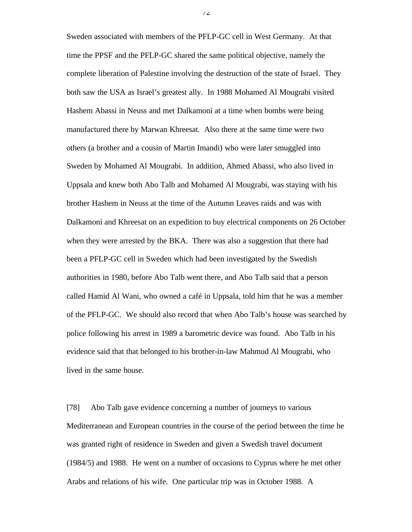Sweden associated with members of the PFLP-GC cell in West Germany. At that time the PPSF and the PFLP-GC shared the same political objective, namely the complete liberation of Palestine involving the destruction of the state of Israel. They both saw the USA as Israel's greatest ally. In 1988 Mohamed Al Mougrabi visited Hashem Abassi in Neuss and met Dalkamoni at a time when bombs were being manufactured there by Marwan Khreesat. Also there at the same time were two others (a brother and a cousin of Martin Imandi) who were later smuggled into Sweden by Mohamed Al Mougrabi. In addition, Ahmed Abassi, who also lived in Uppsala and knew both Abo Talb and Mohamed Al Mougrabi, was staying with his brother Hashem in Neuss at the time of the Autumn Leaves raids and was with Dalkamoni and Khreesat on an expedition to buy electrical components on 26 October when they were arrested by the BKA. There was also a suggestion that there had been a PFLP-GC cell in Sweden which had been investigated by the Swedish authorities in 1980, before Abo Talb went there, and Abo Talb said that a person called Hamid Al Wani, who owned a café in Uppsala, told him that he was a member of the PFLP-GC. We should also record that when Abo Talb's house was searched by police following his arrest in 1989 a barometric device was found. Abo Talb in his evidence said that that belonged to his brother-in-law Mahmud Al Mougrabi, who lived in the same house.

[78] Abo Talb gave evidence concerning a number of journeys to various Mediterranean and European countries in the course of the period between the time he was granted right of residence in Sweden and given a Swedish travel document (1984/5) and 1988. He went on a number of occasions to Cyprus where he met other Arabs and relations of his wife. One particular trip was in October 1988. A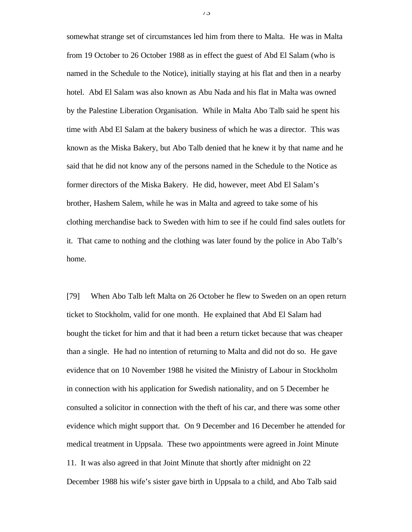somewhat strange set of circumstances led him from there to Malta. He was in Malta from 19 October to 26 October 1988 as in effect the guest of Abd El Salam (who is named in the Schedule to the Notice), initially staying at his flat and then in a nearby hotel. Abd El Salam was also known as Abu Nada and his flat in Malta was owned by the Palestine Liberation Organisation. While in Malta Abo Talb said he spent his time with Abd El Salam at the bakery business of which he was a director. This was known as the Miska Bakery, but Abo Talb denied that he knew it by that name and he said that he did not know any of the persons named in the Schedule to the Notice as former directors of the Miska Bakery. He did, however, meet Abd El Salam's brother, Hashem Salem, while he was in Malta and agreed to take some of his clothing merchandise back to Sweden with him to see if he could find sales outlets for it. That came to nothing and the clothing was later found by the police in Abo Talb's home.

[79] When Abo Talb left Malta on 26 October he flew to Sweden on an open return ticket to Stockholm, valid for one month. He explained that Abd El Salam had bought the ticket for him and that it had been a return ticket because that was cheaper than a single. He had no intention of returning to Malta and did not do so. He gave evidence that on 10 November 1988 he visited the Ministry of Labour in Stockholm in connection with his application for Swedish nationality, and on 5 December he consulted a solicitor in connection with the theft of his car, and there was some other evidence which might support that. On 9 December and 16 December he attended for medical treatment in Uppsala. These two appointments were agreed in Joint Minute 11. It was also agreed in that Joint Minute that shortly after midnight on 22 December 1988 his wife's sister gave birth in Uppsala to a child, and Abo Talb said

 $1<sub>2</sub>$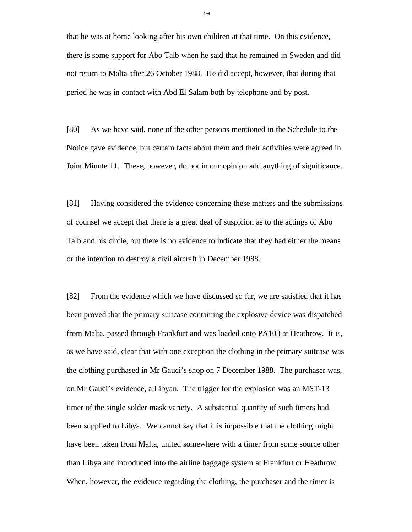that he was at home looking after his own children at that time. On this evidence, there is some support for Abo Talb when he said that he remained in Sweden and did not return to Malta after 26 October 1988. He did accept, however, that during that period he was in contact with Abd El Salam both by telephone and by post.

[80] As we have said, none of the other persons mentioned in the Schedule to the Notice gave evidence, but certain facts about them and their activities were agreed in Joint Minute 11. These, however, do not in our opinion add anything of significance.

[81] Having considered the evidence concerning these matters and the submissions of counsel we accept that there is a great deal of suspicion as to the actings of Abo Talb and his circle, but there is no evidence to indicate that they had either the means or the intention to destroy a civil aircraft in December 1988.

[82] From the evidence which we have discussed so far, we are satisfied that it has been proved that the primary suitcase containing the explosive device was dispatched from Malta, passed through Frankfurt and was loaded onto PA103 at Heathrow. It is, as we have said, clear that with one exception the clothing in the primary suitcase was the clothing purchased in Mr Gauci's shop on 7 December 1988. The purchaser was, on Mr Gauci's evidence, a Libyan. The trigger for the explosion was an MST-13 timer of the single solder mask variety. A substantial quantity of such timers had been supplied to Libya. We cannot say that it is impossible that the clothing might have been taken from Malta, united somewhere with a timer from some source other than Libya and introduced into the airline baggage system at Frankfurt or Heathrow. When, however, the evidence regarding the clothing, the purchaser and the timer is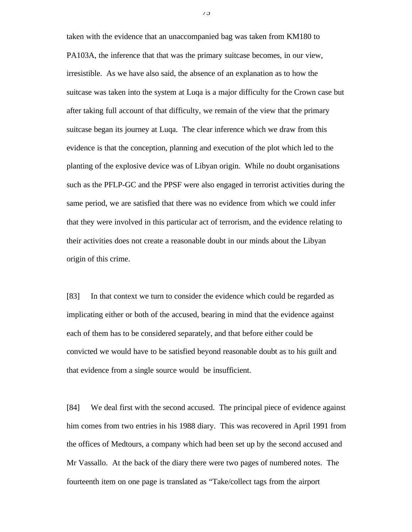taken with the evidence that an unaccompanied bag was taken from KM180 to PA103A, the inference that that was the primary suitcase becomes, in our view, irresistible. As we have also said, the absence of an explanation as to how the suitcase was taken into the system at Luqa is a major difficulty for the Crown case but after taking full account of that difficulty, we remain of the view that the primary suitcase began its journey at Luqa. The clear inference which we draw from this evidence is that the conception, planning and execution of the plot which led to the planting of the explosive device was of Libyan origin. While no doubt organisations such as the PFLP-GC and the PPSF were also engaged in terrorist activities during the same period, we are satisfied that there was no evidence from which we could infer that they were involved in this particular act of terrorism, and the evidence relating to their activities does not create a reasonable doubt in our minds about the Libyan origin of this crime.

[83] In that context we turn to consider the evidence which could be regarded as implicating either or both of the accused, bearing in mind that the evidence against each of them has to be considered separately, and that before either could be convicted we would have to be satisfied beyond reasonable doubt as to his guilt and that evidence from a single source would be insufficient.

[84] We deal first with the second accused. The principal piece of evidence against him comes from two entries in his 1988 diary. This was recovered in April 1991 from the offices of Medtours, a company which had been set up by the second accused and Mr Vassallo. At the back of the diary there were two pages of numbered notes. The fourteenth item on one page is translated as "Take/collect tags from the airport

 $1<sub>0</sub>$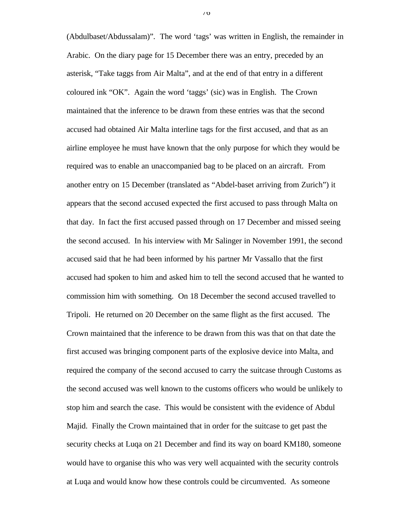(Abdulbaset/Abdussalam)". The word 'tags' was written in English, the remainder in Arabic. On the diary page for 15 December there was an entry, preceded by an asterisk, "Take taggs from Air Malta", and at the end of that entry in a different coloured ink "OK". Again the word 'taggs' (sic) was in English. The Crown maintained that the inference to be drawn from these entries was that the second accused had obtained Air Malta interline tags for the first accused, and that as an airline employee he must have known that the only purpose for which they would be required was to enable an unaccompanied bag to be placed on an aircraft. From another entry on 15 December (translated as "Abdel-baset arriving from Zurich") it appears that the second accused expected the first accused to pass through Malta on that day. In fact the first accused passed through on 17 December and missed seeing the second accused. In his interview with Mr Salinger in November 1991, the second accused said that he had been informed by his partner Mr Vassallo that the first accused had spoken to him and asked him to tell the second accused that he wanted to commission him with something. On 18 December the second accused travelled to Tripoli. He returned on 20 December on the same flight as the first accused. The Crown maintained that the inference to be drawn from this was that on that date the first accused was bringing component parts of the explosive device into Malta, and required the company of the second accused to carry the suitcase through Customs as the second accused was well known to the customs officers who would be unlikely to stop him and search the case. This would be consistent with the evidence of Abdul Majid. Finally the Crown maintained that in order for the suitcase to get past the security checks at Luqa on 21 December and find its way on board KM180, someone would have to organise this who was very well acquainted with the security controls at Luqa and would know how these controls could be circumvented. As someone

 $7<sub>0</sub>$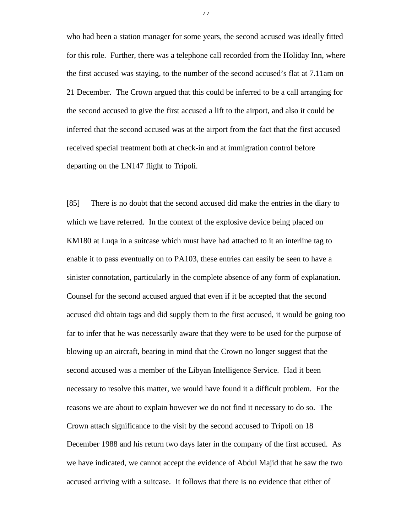who had been a station manager for some years, the second accused was ideally fitted for this role. Further, there was a telephone call recorded from the Holiday Inn, where the first accused was staying, to the number of the second accused's flat at 7.11am on 21 December. The Crown argued that this could be inferred to be a call arranging for the second accused to give the first accused a lift to the airport, and also it could be inferred that the second accused was at the airport from the fact that the first accused received special treatment both at check-in and at immigration control before departing on the LN147 flight to Tripoli.

[85] There is no doubt that the second accused did make the entries in the diary to which we have referred. In the context of the explosive device being placed on KM180 at Luqa in a suitcase which must have had attached to it an interline tag to enable it to pass eventually on to PA103, these entries can easily be seen to have a sinister connotation, particularly in the complete absence of any form of explanation. Counsel for the second accused argued that even if it be accepted that the second accused did obtain tags and did supply them to the first accused, it would be going too far to infer that he was necessarily aware that they were to be used for the purpose of blowing up an aircraft, bearing in mind that the Crown no longer suggest that the second accused was a member of the Libyan Intelligence Service. Had it been necessary to resolve this matter, we would have found it a difficult problem. For the reasons we are about to explain however we do not find it necessary to do so. The Crown attach significance to the visit by the second accused to Tripoli on 18 December 1988 and his return two days later in the company of the first accused. As we have indicated, we cannot accept the evidence of Abdul Majid that he saw the two accused arriving with a suitcase. It follows that there is no evidence that either of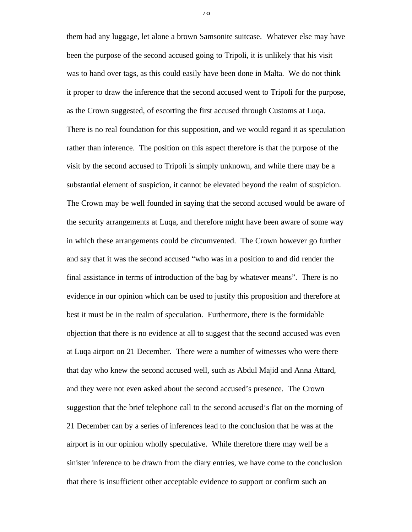them had any luggage, let alone a brown Samsonite suitcase. Whatever else may have been the purpose of the second accused going to Tripoli, it is unlikely that his visit was to hand over tags, as this could easily have been done in Malta. We do not think it proper to draw the inference that the second accused went to Tripoli for the purpose, as the Crown suggested, of escorting the first accused through Customs at Luqa. There is no real foundation for this supposition, and we would regard it as speculation rather than inference. The position on this aspect therefore is that the purpose of the visit by the second accused to Tripoli is simply unknown, and while there may be a substantial element of suspicion, it cannot be elevated beyond the realm of suspicion. The Crown may be well founded in saying that the second accused would be aware of the security arrangements at Luqa, and therefore might have been aware of some way in which these arrangements could be circumvented. The Crown however go further and say that it was the second accused "who was in a position to and did render the final assistance in terms of introduction of the bag by whatever means". There is no evidence in our opinion which can be used to justify this proposition and therefore at best it must be in the realm of speculation. Furthermore, there is the formidable objection that there is no evidence at all to suggest that the second accused was even at Luqa airport on 21 December. There were a number of witnesses who were there that day who knew the second accused well, such as Abdul Majid and Anna Attard, and they were not even asked about the second accused's presence. The Crown suggestion that the brief telephone call to the second accused's flat on the morning of 21 December can by a series of inferences lead to the conclusion that he was at the airport is in our opinion wholly speculative. While therefore there may well be a sinister inference to be drawn from the diary entries, we have come to the conclusion that there is insufficient other acceptable evidence to support or confirm such an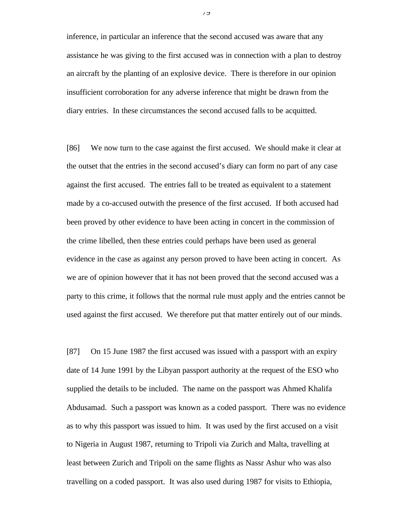inference, in particular an inference that the second accused was aware that any assistance he was giving to the first accused was in connection with a plan to destroy an aircraft by the planting of an explosive device. There is therefore in our opinion insufficient corroboration for any adverse inference that might be drawn from the diary entries. In these circumstances the second accused falls to be acquitted.

[86] We now turn to the case against the first accused. We should make it clear at the outset that the entries in the second accused's diary can form no part of any case against the first accused. The entries fall to be treated as equivalent to a statement made by a co-accused outwith the presence of the first accused. If both accused had been proved by other evidence to have been acting in concert in the commission of the crime libelled, then these entries could perhaps have been used as general evidence in the case as against any person proved to have been acting in concert. As we are of opinion however that it has not been proved that the second accused was a party to this crime, it follows that the normal rule must apply and the entries cannot be used against the first accused. We therefore put that matter entirely out of our minds.

[87] On 15 June 1987 the first accused was issued with a passport with an expiry date of 14 June 1991 by the Libyan passport authority at the request of the ESO who supplied the details to be included. The name on the passport was Ahmed Khalifa Abdusamad. Such a passport was known as a coded passport. There was no evidence as to why this passport was issued to him. It was used by the first accused on a visit to Nigeria in August 1987, returning to Tripoli via Zurich and Malta, travelling at least between Zurich and Tripoli on the same flights as Nassr Ashur who was also travelling on a coded passport. It was also used during 1987 for visits to Ethiopia,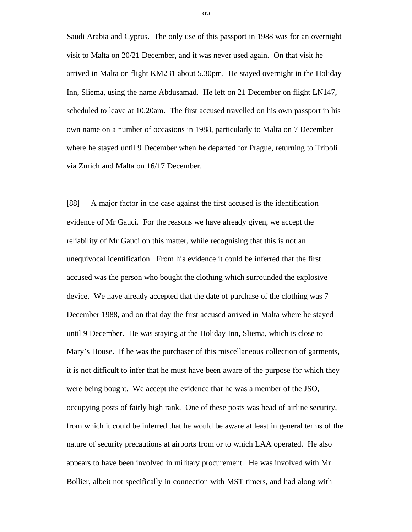Saudi Arabia and Cyprus. The only use of this passport in 1988 was for an overnight visit to Malta on 20/21 December, and it was never used again. On that visit he arrived in Malta on flight KM231 about 5.30pm. He stayed overnight in the Holiday Inn, Sliema, using the name Abdusamad. He left on 21 December on flight LN147, scheduled to leave at 10.20am. The first accused travelled on his own passport in his own name on a number of occasions in 1988, particularly to Malta on 7 December where he stayed until 9 December when he departed for Prague, returning to Tripoli via Zurich and Malta on 16/17 December.

[88] A major factor in the case against the first accused is the identification evidence of Mr Gauci. For the reasons we have already given, we accept the reliability of Mr Gauci on this matter, while recognising that this is not an unequivocal identification. From his evidence it could be inferred that the first accused was the person who bought the clothing which surrounded the explosive device. We have already accepted that the date of purchase of the clothing was 7 December 1988, and on that day the first accused arrived in Malta where he stayed until 9 December. He was staying at the Holiday Inn, Sliema, which is close to Mary's House. If he was the purchaser of this miscellaneous collection of garments, it is not difficult to infer that he must have been aware of the purpose for which they were being bought. We accept the evidence that he was a member of the JSO, occupying posts of fairly high rank. One of these posts was head of airline security, from which it could be inferred that he would be aware at least in general terms of the nature of security precautions at airports from or to which LAA operated. He also appears to have been involved in military procurement. He was involved with Mr Bollier, albeit not specifically in connection with MST timers, and had along with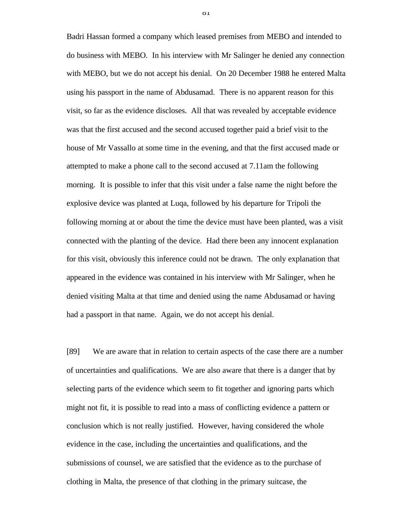Badri Hassan formed a company which leased premises from MEBO and intended to do business with MEBO. In his interview with Mr Salinger he denied any connection with MEBO, but we do not accept his denial. On 20 December 1988 he entered Malta using his passport in the name of Abdusamad. There is no apparent reason for this visit, so far as the evidence discloses. All that was revealed by acceptable evidence was that the first accused and the second accused together paid a brief visit to the house of Mr Vassallo at some time in the evening, and that the first accused made or attempted to make a phone call to the second accused at 7.11am the following morning. It is possible to infer that this visit under a false name the night before the explosive device was planted at Luqa, followed by his departure for Tripoli the following morning at or about the time the device must have been planted, was a visit connected with the planting of the device. Had there been any innocent explanation for this visit, obviously this inference could not be drawn. The only explanation that appeared in the evidence was contained in his interview with Mr Salinger, when he denied visiting Malta at that time and denied using the name Abdusamad or having had a passport in that name. Again, we do not accept his denial.

[89] We are aware that in relation to certain aspects of the case there are a number of uncertainties and qualifications. We are also aware that there is a danger that by selecting parts of the evidence which seem to fit together and ignoring parts which might not fit, it is possible to read into a mass of conflicting evidence a pattern or conclusion which is not really justified. However, having considered the whole evidence in the case, including the uncertainties and qualifications, and the submissions of counsel, we are satisfied that the evidence as to the purchase of clothing in Malta, the presence of that clothing in the primary suitcase, the